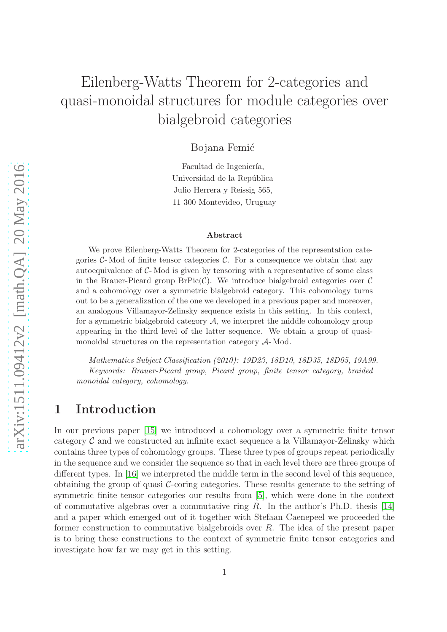# Eilenberg-Watts Theorem for 2-categories and quasi-monoidal structures for module categories over bialgebroid categories

Bojana Femić

Facultad de Ingeniería, Universidad de la República Julio Herrera y Reissig 565, 11 300 Montevideo, Uruguay

#### Abstract

We prove Eilenberg-Watts Theorem for 2-categories of the representation categories  $C$ - Mod of finite tensor categories C. For a consequence we obtain that any autoequivalence of  $C$ - Mod is given by tensoring with a representative of some class in the Brauer-Picard group  $BrPic(\mathcal{C})$ . We introduce bialgebroid categories over  $\mathcal{C}$ and a cohomology over a symmetric bialgebroid category. This cohomology turns out to be a generalization of the one we developed in a previous paper and moreover, an analogous Villamayor-Zelinsky sequence exists in this setting. In this context, for a symmetric bialgebroid category  $A$ , we interpret the middle cohomology group appearing in the third level of the latter sequence. We obtain a group of quasimonoidal structures on the representation category A- Mod.

Mathematics Subject Classification (2010): 19D23, 18D10, 18D35, 18D05, 19A99. Keywords: Brauer-Picard group, Picard group, finite tensor category, braided monoidal category, cohomology.

### 1 Introduction

In our previous paper [\[15\]](#page-28-0) we introduced a cohomology over a symmetric finite tensor category  $\mathcal C$  and we constructed an infinite exact sequence a la Villamayor-Zelinsky which contains three types of cohomology groups. These three types of groups repeat periodically in the sequence and we consider the sequence so that in each level there are three groups of different types. In [\[16\]](#page-28-1) we interpreted the middle term in the second level of this sequence, obtaining the group of quasi  $\mathcal{C}$ -coring categories. These results generate to the setting of symmetric finite tensor categories our results from [\[5\]](#page-27-0), which were done in the context of commutative algebras over a commutative ring  $R$ . In the author's Ph.D. thesis [\[14\]](#page-28-2) and a paper which emerged out of it together with Stefaan Caenepeel we proceeded the former construction to commutative bialgebroids over R. The idea of the present paper is to bring these constructions to the context of symmetric finite tensor categories and investigate how far we may get in this setting.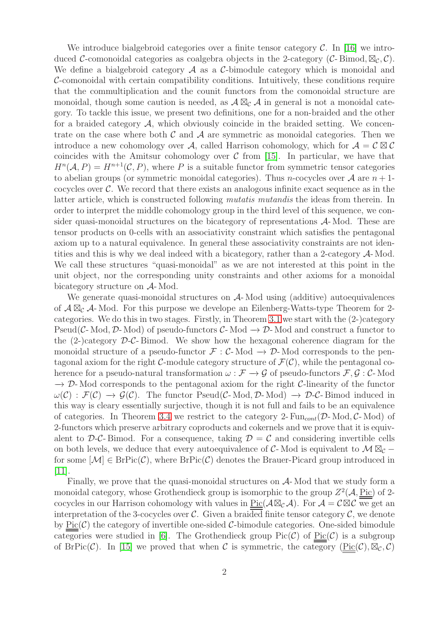We introduce bialgebroid categories over a finite tensor category  $\mathcal{C}$ . In [\[16\]](#page-28-1) we introduced C-comonoidal categories as coalgebra objects in the 2-category (C-Bimod,  $\mathbb{Z}_{\mathcal{C}}$ , C). We define a bialgebroid category  $A$  as a  $C$ -bimodule category which is monoidal and C-comonoidal with certain compatibility conditions. Intuitively, these conditions require that the commultiplication and the counit functors from the comonoidal structure are monoidal, though some caution is needed, as  $\mathcal{A} \boxtimes_{\mathcal{C}} \mathcal{A}$  in general is not a monoidal category. To tackle this issue, we present two definitions, one for a non-braided and the other for a braided category  $\mathcal{A}$ , which obviously coincide in the braided setting. We concentrate on the case where both  $\mathcal C$  and  $\mathcal A$  are symmetric as monoidal categories. Then we introduce a new cohomology over A, called Harrison cohomology, which for  $A = C \boxtimes C$ coincides with the Amitsur cohomology over  $C$  from [\[15\]](#page-28-0). In particular, we have that  $H^n(\mathcal{A}, P) = H^{n+1}(\mathcal{C}, P)$ , where P is a suitable functor from symmetric tensor categories to abelian groups (or symmetric monoidal categories). Thus *n*-cocycles over  $\mathcal A$  are  $n+1$ cocycles over  $\mathcal{C}$ . We record that there exists an analogous infinite exact sequence as in the latter article, which is constructed following mutatis mutandis the ideas from therein. In order to interpret the middle cohomology group in the third level of this sequence, we consider quasi-monoidal structures on the bicategory of representations  $A$ - Mod. These are tensor products on 0-cells with an associativity constraint which satisfies the pentagonal axiom up to a natural equivalence. In general these associativity constraints are not identities and this is why we deal indeed with a bicategory, rather than a 2-category A- Mod. We call these structures "quasi-monoidal" as we are not interested at this point in the unit object, nor the corresponding unity constraints and other axioms for a monoidal bicategory structure on A- Mod.

We generate quasi-monoidal structures on  $A$ -Mod using (additive) autoequivalences of  $\mathcal{A} \boxtimes_{\mathcal{C}} \mathcal{A}$ - Mod. For this purpose we develope an Eilenberg-Watts-type Theorem for 2categories. We do this in two stages. Firstly, in Theorem [3.1](#page-6-0) we start with the (2-)category Pseud( $\mathcal{C}\text{-Mod}, \mathcal{D}\text{-Mod}$ ) of pseudo-functors  $\mathcal{C}\text{-Mod} \to \mathcal{D}\text{-Mod}$  and construct a functor to the  $(2-)$ category  $\mathcal{D}\text{-}\mathcal{C}\text{-}$  Bimod. We show how the hexagonal coherence diagram for the monoidal structure of a pseudo-functor  $\mathcal{F} : \mathcal{C}\text{-Mod} \to \mathcal{D}\text{-Mod}$  corresponds to the pentagonal axiom for the right C-module category structure of  $\mathcal{F}(\mathcal{C})$ , while the pentagonal coherence for a pseudo-natural transformation  $\omega : \mathcal{F} \to \mathcal{G}$  of pseudo-functors  $\mathcal{F}, \mathcal{G} : \mathcal{C}$ -Mod  $\rightarrow$  D-Mod corresponds to the pentagonal axiom for the right C-linearity of the functor  $\omega(\mathcal{C}) : \mathcal{F}(\mathcal{C}) \to \mathcal{G}(\mathcal{C})$ . The functor Pseud( $\mathcal{C}\text{-Mod}, \mathcal{D}\text{-Mod} \to \mathcal{D}\text{-}\mathcal{C}\text{-Bimod induced in}$ this way is cleary essentially surjective, though it is not full and fails to be an equivalence of categories. In Theorem [3.4](#page-10-0) we restrict to the category 2- $\text{Fun}_{cont}(\mathcal{D}\text{-Mod}, \mathcal{C}\text{-Mod})$  of 2-functors which preserve arbitrary coproducts and cokernels and we prove that it is equivalent to D-C-Bimod. For a consequence, taking  $\mathcal{D} = \mathcal{C}$  and considering invertible cells on both levels, we deduce that every autoequivalence of C- Mod is equivalent to  $\mathcal{M} \boxtimes_{\mathcal{C}}$  – for some  $[\mathcal{M}] \in \text{BrPic}(\mathcal{C})$ , where  $\text{BrPic}(\mathcal{C})$  denotes the Brauer-Picard group introduced in [\[11\]](#page-28-3).

Finally, we prove that the quasi-monoidal structures on A- Mod that we study form a monoidal category, whose Grothendieck group is isomorphic to the group  $Z^2(\mathcal{A}, \underline{\text{Pic}})$  of 2cocycles in our Harrison cohomology with values in  $Pic(\mathcal{A}\boxtimes_{\mathcal{C}}\mathcal{A})$ . For  $\mathcal{A}=\mathcal{C}\boxtimes\mathcal{C}$  we get an interpretation of the 3-cocycles over  $\mathcal{C}$ . Given a braided finite tensor category  $\mathcal{C}$ , we denote by  $Pic(\mathcal{C})$  the category of invertible one-sided  $\mathcal{C}\text{-bimodule}$  categories. One-sided bimodule categories were studied in [\[6\]](#page-27-1). The Grothendieck group  $Pic(\mathcal{C})$  of  $Pic(\mathcal{C})$  is a subgroup of BrPic(C). In [\[15\]](#page-28-0) we proved that when C is symmetric, the category  $(\text{Pic}(\mathcal{C}), \boxtimes_{\mathcal{C}}, \mathcal{C})$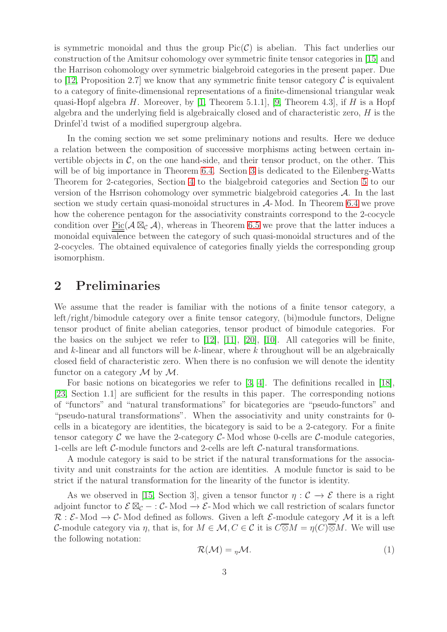is symmetric monoidal and thus the group  $Pic(\mathcal{C})$  is abelian. This fact underlies our construction of the Amitsur cohomology over symmetric finite tensor categories in [\[15\]](#page-28-0) and the Harrison cohomology over symmetric bialgebroid categories in the present paper. Due to [\[12,](#page-28-4) Proposition 2.7] we know that any symmetric finite tensor category  $\mathcal C$  is equivalent to a category of finite-dimensional representations of a finite-dimensional triangular weak quasi-Hopf algebra H. Moreover, by [\[1,](#page-27-2) Theorem 5.1.1], [\[9,](#page-27-3) Theorem 4.3], if H is a Hopf algebra and the underlying field is algebraically closed and of characteristic zero,  $H$  is the Drinfel'd twist of a modified supergroup algebra.

In the coming section we set some preliminary notions and results. Here we deduce a relation between the composition of successive morphisms acting between certain invertible objects in  $\mathcal{C}$ , on the one hand-side, and their tensor product, on the other. This will be of big importance in Theorem [6.4.](#page-21-0) Section [3](#page-6-1) is dedicated to the Eilenberg-Watts Theorem for 2-categories, Section [4](#page-12-0) to the bialgebroid categories and Section [5](#page-16-0) to our version of the Hsrrison cohomology over symmetric bialgebroid categories A. In the last section we study certain quasi-monoidal structures in A- Mod. In Theorem [6.4](#page-21-0) we prove how the coherence pentagon for the associativity constraints correspond to the 2-cocycle condition over  $Pic(A \boxtimes_{\mathcal{C}} \mathcal{A})$ , whereas in Theorem [6.5](#page-25-0) we prove that the latter induces a monoidal equivalence between the category of such quasi-monoidal structures and of the 2-cocycles. The obtained equivalence of categories finally yields the corresponding group isomorphism.

### 2 Preliminaries

We assume that the reader is familiar with the notions of a finite tensor category, a left/right/bimodule category over a finite tensor category, (bi)module functors, Deligne tensor product of finite abelian categories, tensor product of bimodule categories. For the basics on the subject we refer to [\[12\]](#page-28-4), [\[11\]](#page-28-3), [\[20\]](#page-28-5), [\[10\]](#page-28-6). All categories will be finite, and  $k$ -linear and all functors will be  $k$ -linear, where  $k$  throughout will be an algebraically closed field of characteristic zero. When there is no confusion we will denote the identity functor on a category  $\mathcal M$  by  $\mathcal M$ .

For basic notions on bicategories we refer to [\[3,](#page-27-4) [4\]](#page-27-5). The definitions recalled in [\[18\]](#page-28-7), [\[23,](#page-28-8) Section 1.1] are sufficient for the results in this paper. The corresponding notions of "functors" and "natural transformations" for bicategories are "pseudo-functors" and "pseudo-natural transformations". When the associativity and unity constraints for 0 cells in a bicategory are identities, the bicategory is said to be a 2-category. For a finite tensor category  $\mathcal C$  we have the 2-category  $\mathcal C$ -Mod whose 0-cells are  $\mathcal C$ -module categories, 1-cells are left C-module functors and 2-cells are left C-natural transformations.

A module category is said to be strict if the natural transformations for the associativity and unit constraints for the action are identities. A module functor is said to be strict if the natural transformation for the linearity of the functor is identity.

As we observed in [\[15,](#page-28-0) Section 3], given a tensor functor  $\eta : \mathcal{C} \to \mathcal{E}$  there is a right adjoint functor to  $\mathcal{E} \boxtimes_{\mathcal{C}} - : \mathcal{C}$ - Mod  $\rightarrow \mathcal{E}$ - Mod which we call restriction of scalars functor  $\mathcal{R}: \mathcal{E}\text{-Mod}\to \mathcal{C}\text{-Mod}$  defined as follows. Given a left  $\mathcal{E}\text{-module category }\mathcal{M}$  it is a left C-module category via  $\eta$ , that is, for  $M \in \mathcal{M}, C \in \mathcal{C}$  it is  $C \overline{\otimes} M = \eta(C) \overline{\otimes} M$ . We will use the following notation:

<span id="page-2-0"></span>
$$
\mathcal{R}(\mathcal{M}) = \eta \mathcal{M}.
$$
 (1)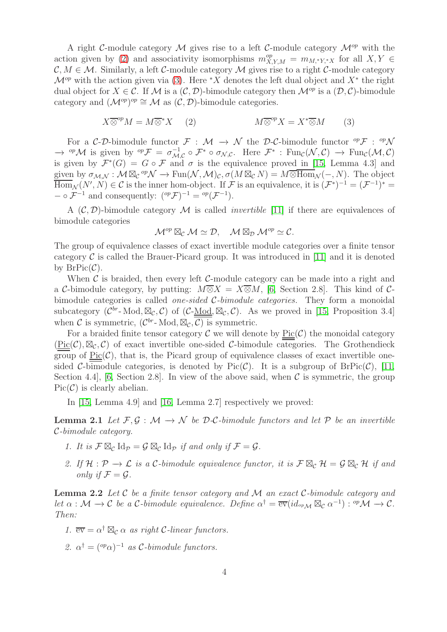A right C-module category M gives rise to a left C-module category  $\mathcal{M}^{op}$  with the action given by [\(2\)](#page-3-0) and associativity isomorphisms  $m_{X,Y,M}^{op} = m_{M,*Y,*X}$  for all  $X, Y \in$  $\mathcal{C}, M \in \mathcal{M}$ . Similarly, a left C-module category M gives rise to a right C-module category  $\mathcal{M}^{op}$  with the action given via [\(3\)](#page-3-1). Here \*X denotes the left dual object and  $X^*$  the right dual object for  $X \in \mathcal{C}$ . If M is a  $(\mathcal{C}, \mathcal{D})$ -bimodule category then  $\mathcal{M}^{op}$  is a  $(\mathcal{D}, \mathcal{C})$ -bimodule category and  $(\mathcal{M}^{op})^{op} \cong \mathcal{M}$  as  $(\mathcal{C}, \mathcal{D})$ -bimodule categories.

<span id="page-3-0"></span>
$$
X \overline{\otimes}^{op} M = M \overline{\otimes}^* X \qquad (2) \qquad \qquad M \overline{\otimes}^{op} X = X^* \overline{\otimes} M \qquad (3)
$$

For a C-D-bimodule functor  $\mathcal{F}: \mathcal{M} \to \mathcal{N}$  the D-C-bimodule functor  ${}^{op}\mathcal{F}: {}^{op}\mathcal{N}$  $\rightarrow$  <sup>op</sup>M is given by <sup>op</sup>F =  $\sigma_{\mathcal{M}}^{-1}$  $\mathcal{L}_{\mathcal{M},\mathcal{C}}^{-1} \circ \mathcal{F}^* \circ \sigma_{\mathcal{N},\mathcal{C}}$ . Here  $\mathcal{F}^*$  :  $\text{Fun}_{\mathcal{C}}(\mathcal{N},\mathcal{C}) \to \text{Fun}_{\mathcal{C}}(\mathcal{M},\mathcal{C})$ is given by  $\mathcal{F}^*(G) = G \circ \mathcal{F}$  and  $\sigma$  is the equivalence proved in [\[15,](#page-28-0) Lemma 4.3] and given by  $\sigma_{\mathcal{M},\mathcal{N}} : \mathcal{M} \boxtimes_{\mathcal{C}} {}^{op} \mathcal{N} \to \text{Fun}(\mathcal{N},\mathcal{M})_{\mathcal{C}}, \sigma(M \boxtimes_{\mathcal{C}} N) = M \overline{\otimes \text{Hom}}_{\mathcal{N}}(-,N)$ . The object  $\overline{\text{Hom}}_{\mathcal{N}}(N',N) \in \mathcal{C}$  is the inner hom-object. If  $\mathcal{F}$  is an equivalence, it is  $(\mathcal{F}^*)^{-1} = (\mathcal{F}^{-1})^* =$  $- \circ \mathcal{F}^{-1}$  and consequently:  $({}^{\text{{op}}} \mathcal{F})^{-1} = {}^{\text{{op}}} (\mathcal{F}^{-1}).$ 

A  $(C, \mathcal{D})$ -bimodule category M is called *invertible* [\[11\]](#page-28-3) if there are equivalences of bimodule categories

<span id="page-3-1"></span>
$$
\mathcal{M}^{op} \boxtimes_{\mathcal{C}} \mathcal{M} \simeq \mathcal{D}, \quad \mathcal{M} \boxtimes_{\mathcal{D}} \mathcal{M}^{op} \simeq \mathcal{C}.
$$

The group of equivalence classes of exact invertible module categories over a finite tensor category  $\mathcal C$  is called the Brauer-Picard group. It was introduced in [\[11\]](#page-28-3) and it is denoted by  $BrPic(\mathcal{C})$ .

When  $\mathcal C$  is braided, then every left  $\mathcal C$ -module category can be made into a right and a C-bimodule category, by putting:  $M\overline{\otimes}X = X\overline{\otimes}M$ , [\[6,](#page-27-1) Section 2.8]. This kind of Cbimodule categories is called one-sided C-bimodule categories. They form a monoidal subcategory  $(\mathcal{C}^{br}$ -Mod,  $\mathbb{Z}_{\mathcal{C}}, \mathcal{C})$  of  $(\mathcal{C}\text{-Mod}, \mathbb{Z}_{\mathcal{C}}, \mathcal{C})$ . As we proved in [\[15,](#page-28-0) Proposition 3.4] when C is symmetric,  $(\mathcal{C}^{br}$ -Mod,  $\mathbb{Z}_{\mathcal{C}}, \overline{\mathcal{C}})$  is symmetric.

For a braided finite tensor category  $\mathcal C$  we will denote by  $Pic(\mathcal C)$  the monoidal category  $(\text{Pic}(\mathcal{C}), \boxtimes_{\mathcal{C}}, \mathcal{C})$  of exact invertible one-sided C-bimodule categories. The Grothendieck group of  $Pic(\mathcal{C})$ , that is, the Picard group of equivalence classes of exact invertible onesided C-bimodule categories, is denoted by Pic $(\mathcal{C})$ . It is a subgroup of BrPic $(\mathcal{C})$ , [\[11,](#page-28-3) Section 4.4, [\[6,](#page-27-1) Section 2.8]. In view of the above said, when  $\mathcal C$  is symmetric, the group  $Pic(\mathcal{C})$  is clearly abelian.

<span id="page-3-2"></span>In [\[15,](#page-28-0) Lemma 4.9] and [\[16,](#page-28-1) Lemma 2.7] respectively we proved:

**Lemma 2.1** Let  $\mathcal{F}, \mathcal{G} : \mathcal{M} \to \mathcal{N}$  be  $\mathcal{D}\text{-}\mathcal{C}\text{-bimodule functors and let } \mathcal{P}$  be an invertible C-bimodule category.

- 1. It is  $\mathcal{F} \boxtimes_{\mathcal{C}} \mathrm{Id}_{\mathcal{P}} = \mathcal{G} \boxtimes_{\mathcal{C}} \mathrm{Id}_{\mathcal{P}}$  if and only if  $\mathcal{F} = \mathcal{G}$ .
- 2. If  $\mathcal{H}: \mathcal{P} \to \mathcal{L}$  is a C-bimodule equivalence functor, it is  $\mathcal{F} \boxtimes_{\mathcal{C}} \mathcal{H} = \mathcal{G} \boxtimes_{\mathcal{C}} \mathcal{H}$  if and only if  $\mathcal{F} = \mathcal{G}$ .

<span id="page-3-3"></span>**Lemma 2.2** Let  $\mathcal C$  be a finite tensor category and  $\mathcal M$  an exact  $\mathcal C$ -bimodule category and let  $\alpha : \mathcal{M} \to \mathcal{C}$  be a C-bimodule equivalence. Define  $\alpha^{\dagger} = \overline{\text{ev}}(id_{op_{\mathcal{M}}} \boxtimes_{\mathcal{C}} \alpha^{-1}) : {}^{op} \mathcal{M} \to \mathcal{C}$ . Then:

1.  $\overline{ev} = \alpha^{\dagger} \boxtimes_{\mathcal{C}} \alpha$  as right C-linear functors.

2.  $\alpha^{\dagger} = (^{\text{op}} \alpha)^{-1}$  as C-bimodule functors.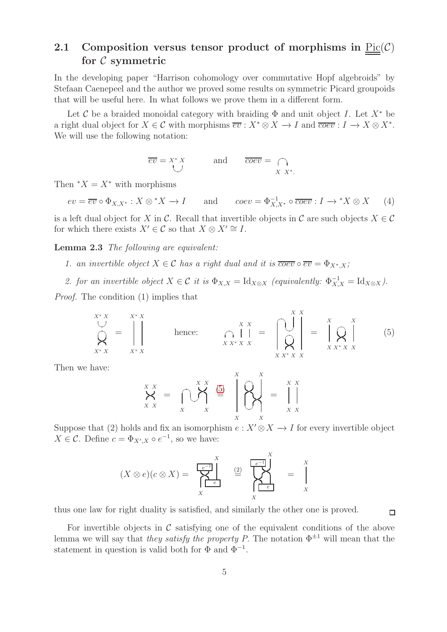#### <span id="page-4-3"></span>2.1 Composition versus tensor product of morphisms in  $Pic(\mathcal{C})$ for  $\mathcal C$  symmetric

In the developing paper "Harrison cohomology over commutative Hopf algebroids" by Stefaan Caenepeel and the author we proved some results on symmetric Picard groupoids that will be useful here. In what follows we prove them in a different form.

Let C be a braided monoidal category with braiding  $\Phi$  and unit object I. Let  $X^*$  be a right dual object for  $X \in \mathcal{C}$  with morphisms  $\overline{ev} : X^* \otimes X \to I$  and  $\overline{coev} : I \to X \otimes X^*$ . We will use the following notation:

$$
\overline{ev} = X^* X \qquad \text{and} \qquad \overline{coev} = \bigcap_{X \ X^*}.
$$

Then  $X = X^*$  with morphisms

 $ev = \overline{ev} \circ \Phi_{X,X^*}: X \otimes^* X \to I$  and  $coev = \Phi_{X,X^*}^{-1} \circ \overline{coev} : I \to^* X \otimes X$  (4)

<span id="page-4-1"></span>is a left dual object for X in C. Recall that invertible objects in C are such objects  $X \in \mathcal{C}$ for which there exists  $X' \in \mathcal{C}$  so that  $X \otimes X' \cong I$ .

Lemma 2.3 The following are equivalent:

- 1. an invertible object  $X \in \mathcal{C}$  has a right dual and it is  $\overline{coev} \circ \overline{ev} = \Phi_{X^*,X}$ ;
- 2. for an invertible object  $X \in \mathcal{C}$  it is  $\Phi_{X,X} = \text{Id}_{X \otimes X}$  (equivalently:  $\Phi_{X,X}^{-1} = \text{Id}_{X \otimes X}$ ).

Proof. The condition (1) implies that

<span id="page-4-0"></span>
$$
\bigotimes_{X^*X}^{X^*X} = \begin{bmatrix} X^*X \\ \vdots \\ X^*X \end{bmatrix} \qquad \text{hence:} \qquad \bigcap_{X X^* X X}^{X X} = \begin{bmatrix} X & X \\ \vdots \\ X & X^* X X \end{bmatrix} = \begin{bmatrix} X & X \\ \vdots \\ X & X^* X X \end{bmatrix} \qquad (5)
$$

Then we have:

$$
\begin{array}{ccc}\nX & X \\
X & X \\
X & X\n\end{array} = \begin{array}{c}\nX & X \\
\bigvee_{X} & X\n\end{array} \begin{array}{c}\n\begin{array}{c}\nX \\
\bigodot_{X} \\
X\n\end{array}\n\end{array} \begin{array}{c}\nX \\
\bigvee_{X} \\
X\n\end{array} = \begin{array}{c}\nX & X \\
\bigwedge_{X} \\
X & X\n\end{array}
$$

Suppose that (2) holds and fix an isomorphism  $e: X' \otimes X \to I$  for every invertible object  $X \in \mathcal{C}$ . Define  $c = \Phi_{X',X} \circ e^{-1}$ , so we have:

$$
(X \otimes e)(c \otimes X) = \sum_{X} \begin{matrix} \begin{matrix} x \\ e^{-1} \end{matrix} \\ \begin{matrix} \end{matrix} \\ \begin{matrix} \end{matrix} \\ \begin{matrix} \end{matrix} \\ \begin{matrix} \end{matrix} \\ \begin{matrix} \end{matrix} \\ \begin{matrix} \end{matrix} \\ \begin{matrix} \end{matrix} \\ \begin{matrix} \end{matrix} \\ \begin{matrix} \end{matrix} \\ \begin{matrix} \end{matrix} \end{matrix} \end{matrix} \end{matrix} = \sum_{X} \begin{matrix} \begin{matrix} x \\ y \\ z \end{matrix} \\ \begin{matrix} \end{matrix}
$$

thus one law for right duality is satisfied, and similarly the other one is proved.

<span id="page-4-2"></span>For invertible objects in  $\mathcal C$  satisfying one of the equivalent conditions of the above lemma we will say that they satisfy the property P. The notation  $\Phi^{\pm 1}$  will mean that the statement in question is valid both for  $\Phi$  and  $\Phi^{-1}$ .

 $\Box$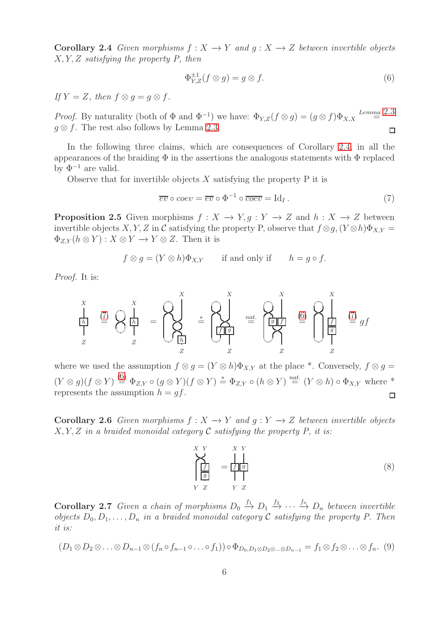Corollary 2.4 Given morphisms  $f: X \to Y$  and  $q: X \to Z$  between invertible objects X, Y, Z satisfying the property P, then

<span id="page-5-1"></span>
$$
\Phi_{Y,Z}^{\pm 1}(f \otimes g) = g \otimes f. \tag{6}
$$

If  $Y = Z$ , then  $f \otimes q = q \otimes f$ .

*Proof.* By naturality (both of  $\Phi$  and  $\Phi^{-1}$ ) we have:  $\Phi_{Y,Z}(f \otimes g) = (g \otimes f)\Phi_{X,X}$  Lemma [2](#page-4-1).3  $q \otimes f$ . The rest also follows by Lemma [2.3.](#page-4-1)  $\Box$ 

In the following three claims, which are consequences of Corollary [2.4,](#page-4-2) in all the appearances of the braiding  $\Phi$  in the assertions the analogous statements with  $\Phi$  replaced by  $\Phi^{-1}$  are valid.

Observe that for invertible objects  $X$  satisfying the property  $P$  it is

<span id="page-5-0"></span>
$$
\overline{ev} \circ coev = \overline{ev} \circ \Phi^{-1} \circ \overline{coev} = \text{Id}_I. \tag{7}
$$

**Proposition 2.5** Given morphisms  $f : X \to Y, q : Y \to Z$  and  $h : X \to Z$  between invertible objects X, Y, Z in C satisfying the property P, observe that  $f \otimes g$ ,  $(Y \otimes h)\Phi_{X,Y} =$  $\Phi_{Z,Y}(h \otimes Y) : X \otimes Y \longrightarrow Y \otimes Z$ . Then it is

$$
f \otimes g = (Y \otimes h)\Phi_{X,Y}
$$
 if and only if  $h = g \circ f$ .

Proof. It is:

$$
\frac{X}{\left| \frac{h}{Z} \right|} \stackrel{(7)}{=} \bigotimes \frac{X}{\left| \frac{h}{Z} \right|} = \bigotimes \bigotimes_{\substack{Z \mid N \\ Z}}^{X} \stackrel{=} \bigotimes \bigotimes \bigotimes \stackrel{X}{=} \bigotimes \bigotimes \bigotimes \stackrel{X}{\left| \frac{f}{Z} \right|} \stackrel{(5)}{=} \bigotimes \bigotimes \bigotimes \stackrel{X}{\left| \frac{f}{Z} \right|} \stackrel{(7)}{=} gf
$$

where we used the assumption  $f \otimes q = (Y \otimes h)\Phi_{XY}$  at the place \*. Conversely,  $f \otimes q =$  $(Y \otimes g)(f \otimes Y) \stackrel{(6)}{=} \Phi_{Z,Y} \circ (g \otimes Y)(f \otimes Y) \stackrel{*}{=} \Phi_{Z,Y} \circ (h \otimes Y) \stackrel{nat.}{=} (Y \otimes h) \circ \Phi_{X,Y}$  $(Y \otimes g)(f \otimes Y) \stackrel{(6)}{=} \Phi_{Z,Y} \circ (g \otimes Y)(f \otimes Y) \stackrel{*}{=} \Phi_{Z,Y} \circ (h \otimes Y) \stackrel{nat.}{=} (Y \otimes h) \circ \Phi_{X,Y}$  $(Y \otimes g)(f \otimes Y) \stackrel{(6)}{=} \Phi_{Z,Y} \circ (g \otimes Y)(f \otimes Y) \stackrel{*}{=} \Phi_{Z,Y} \circ (h \otimes Y) \stackrel{nat.}{=} (Y \otimes h) \circ \Phi_{X,Y}$  where \* represents the assumption  $h = gf$ . □

Corollary 2.6 Given morphisms  $f: X \to Y$  and  $q: Y \to Z$  between invertible objects  $X, Y, Z$  in a braided monoidal category C satisfying the property P, it is:

<span id="page-5-2"></span>
$$
\sum_{\substack{Y \mid \mathbf{f} \mid g \\ Y \mid Z}}^{X \mid Y} = \frac{|X|Y}{|Y|g|} \tag{8}
$$

<span id="page-5-4"></span>**Corollary 2.7** Given a chain of morphisms  $D_0 \stackrel{f_1}{\rightarrow} D_1 \stackrel{f_2}{\rightarrow} \cdots \stackrel{f_n}{\rightarrow} D_n$  between invertible objects  $D_0, D_1, \ldots, D_n$  in a braided monoidal category C satisfying the property P. Then it is:

<span id="page-5-3"></span>
$$
(D_1 \otimes D_2 \otimes \ldots \otimes D_{n-1} \otimes (f_n \circ f_{n-1} \circ \ldots \circ f_1)) \circ \Phi_{D_0, D_1 \otimes D_2 \otimes \ldots \otimes D_{n-1}} = f_1 \otimes f_2 \otimes \ldots \otimes f_n. (9)
$$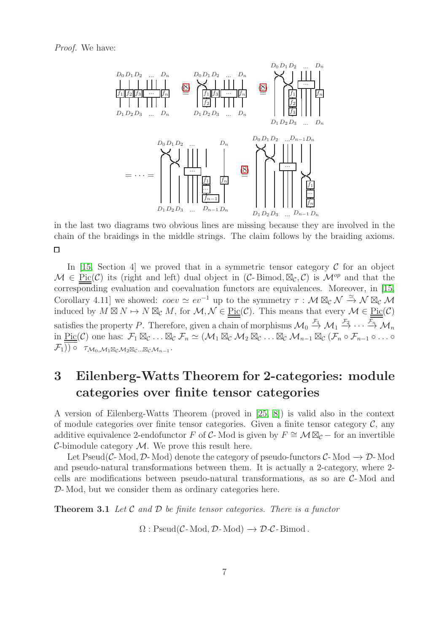

in the last two diagrams two obvious lines are missing because they are involved in the chain of the braidings in the middle strings. The claim follows by the braiding axioms.  $\Box$ 

In [\[15,](#page-28-0) Section 4] we proved that in a symmetric tensor category  $\mathcal C$  for an object  $\mathcal{M} \in \text{Pic}(\mathcal{C})$  its (right and left) dual object in  $(\mathcal{C}\text{-Bimod}, \boxtimes_{\mathcal{C}} \mathcal{C})$  is  $\mathcal{M}^{op}$  and that the corresponding evaluation and coevaluation functors are equivalences. Moreover, in [\[15,](#page-28-0) Corollary 4.11] we showed:  $coev \simeq ev^{-1}$  up to the symmetry  $\tau : \mathcal{M} \boxtimes_{\mathcal{C}} \mathcal{N} \xrightarrow{\simeq} \mathcal{N} \boxtimes_{\mathcal{C}} \mathcal{M}$ induced by  $M \boxtimes N \mapsto N \boxtimes_{\mathcal{C}} M$ , for  $\mathcal{M}, \mathcal{N} \in \text{Pic}(\mathcal{C})$ . This means that every  $\mathcal{M} \in \text{Pic}(\mathcal{C})$ satisfies the property P. Therefore, given a chain of morphisms  $\mathcal{M}_0 \stackrel{\mathcal{F}_1}{\rightarrow} \mathcal{M}_1 \stackrel{\mathcal{F}_2}{\rightarrow} \cdots \stackrel{\mathcal{F}_n}{\rightarrow} \mathcal{M}_n$ in  $\underline{\mathrm{Pic}}(\mathcal{C})$  one has:  $\mathcal{F}_1 \boxtimes_{\mathcal{C}} \ldots \boxtimes_{\mathcal{C}} \mathcal{F}_n \simeq (\mathcal{M}_1 \boxtimes_{\mathcal{C}} \mathcal{M}_2 \boxtimes_{\mathcal{C}} \ldots \boxtimes_{\mathcal{C}} \mathcal{M}_{n-1} \boxtimes_{\mathcal{C}} (\mathcal{F}_n \circ \mathcal{F}_{n-1} \circ \ldots \circ$  $(\mathcal{F}_1))\circ \ \ \tau_{\mathcal{M}_0,\mathcal{M}_1\boxtimes_{\mathcal{C}}\mathcal{M}_2\boxtimes_{\mathcal{C}}...\boxtimes_{\mathcal{C}}\mathcal{M}_{n-1}}.$ 

### <span id="page-6-1"></span>3 Eilenberg-Watts Theorem for 2-categories: module categories over finite tensor categories

A version of Eilenberg-Watts Theorem (proved in [\[25,](#page-28-9) [8\]](#page-27-6)) is valid also in the context of module categories over finite tensor categories. Given a finite tensor category  $\mathcal{C}$ , any additive equivalence 2-endofunctor F of C-Mod is given by  $F \cong M \boxtimes_{\mathcal{C}}$  – for an invertible C-bimodule category  $M$ . We prove this result here.

Let Pseud(C- Mod, D- Mod) denote the category of pseudo-functors  $C$ - Mod  $\rightarrow$  D- Mod and pseudo-natural transformations between them. It is actually a 2-category, where 2 cells are modifications between pseudo-natural transformations, as so are C- Mod and D- Mod, but we consider them as ordinary categories here.

<span id="page-6-0"></span>**Theorem 3.1** Let C and D be finite tensor categories. There is a functor

 $\Omega : \text{Pseudo}(\mathcal{C}\text{-Mod}, \mathcal{D}\text{-Mod}) \longrightarrow \mathcal{D}\text{-}\mathcal{C}\text{-Bimod}.$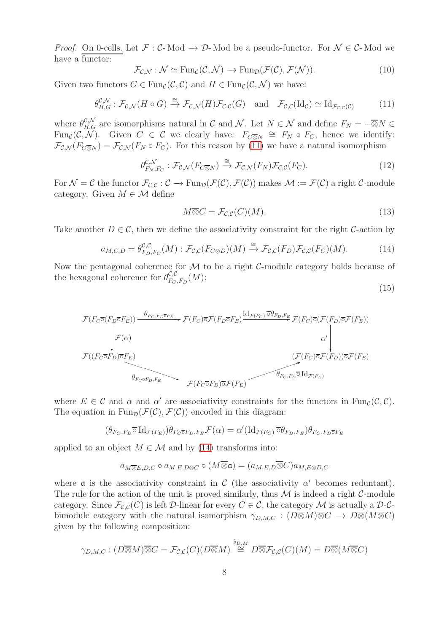*Proof.* <u>On 0-cells.</u> Let  $\mathcal{F} : \mathcal{C}\text{-Mod} \to \mathcal{D}\text{-Mod}$  be a pseudo-functor. For  $\mathcal{N} \in \mathcal{C}\text{-Mod}$  we have a functor:

<span id="page-7-3"></span>
$$
\mathcal{F}_{\mathcal{C},\mathcal{N}} : \mathcal{N} \simeq \text{Fun}_{\mathcal{C}}(\mathcal{C},\mathcal{N}) \to \text{Fun}_{\mathcal{D}}(\mathcal{F}(\mathcal{C}),\mathcal{F}(\mathcal{N})).
$$
\n(10)

Given two functors  $G \in \text{Fun}_{\mathcal{C}}(\mathcal{C}, \mathcal{C})$  and  $H \in \text{Fun}_{\mathcal{C}}(\mathcal{C}, \mathcal{N})$  we have:

<span id="page-7-0"></span>
$$
\theta_{H,G}^{\mathcal{C},\mathcal{N}} : \mathcal{F}_{\mathcal{C},\mathcal{N}}(H \circ G) \xrightarrow{\cong} \mathcal{F}_{\mathcal{C},\mathcal{N}}(H) \mathcal{F}_{\mathcal{C},\mathcal{C}}(G) \quad \text{and} \quad \mathcal{F}_{\mathcal{C},\mathcal{C}}(\mathrm{Id}_{\mathcal{C}}) \simeq \mathrm{Id}_{\mathcal{F}_{\mathcal{C},\mathcal{C}}(\mathcal{C})} \tag{11}
$$

where  $\theta_{H,G}^{\mathcal{C},\mathcal{N}}$  are isomorphisms natural in C and N. Let  $N \in \mathcal{N}$  and define  $F_N = -\overline{\otimes}N \in$ Fun<sub>C</sub>(C, N). Given  $C \in \mathcal{C}$  we clearly have:  $F_{C \overline{\otimes} N} \cong F_N \circ F_C$ , hence we identify:  $\mathcal{F}_{\mathcal{C},\mathcal{N}}(F_{C\overline{\otimes}N}) = \mathcal{F}_{\mathcal{C},\mathcal{N}}(F_N \circ F_C)$ . For this reason by [\(11\)](#page-7-0) we have a natural isomorphism

$$
\theta_{F_N, F_C}^{\mathcal{C},\mathcal{N}} : \mathcal{F}_{\mathcal{C},\mathcal{N}}(F_{C\overline{\otimes}N}) \xrightarrow{\cong} \mathcal{F}_{\mathcal{C},\mathcal{N}}(F_N)\mathcal{F}_{\mathcal{C},\mathcal{C}}(F_C). \tag{12}
$$

For  $\mathcal{N} = \mathcal{C}$  the functor  $\mathcal{F}_{\mathcal{C},\mathcal{C}} : \mathcal{C} \to \text{Fun}_{\mathcal{D}}(\mathcal{F}(\mathcal{C}), \mathcal{F}(\mathcal{C}))$  makes  $\mathcal{M} := \mathcal{F}(\mathcal{C})$  a right  $\mathcal{C}\text{-module}$ category. Given  $M \in \mathcal{M}$  define

<span id="page-7-4"></span><span id="page-7-2"></span>
$$
M\overline{\otimes}C = \mathcal{F}_{\mathcal{C},\mathcal{C}}(C)(M). \tag{13}
$$

Take another  $D \in \mathcal{C}$ , then we define the associativity constraint for the right C-action by

<span id="page-7-1"></span>
$$
a_{M,C,D} = \theta_{F_D,F_C}^{\mathcal{C},\mathcal{C}}(M) : \mathcal{F}_{\mathcal{C},\mathcal{C}}(F_{C\otimes D})(M) \xrightarrow{\cong} \mathcal{F}_{\mathcal{C},\mathcal{C}}(F_D)\mathcal{F}_{\mathcal{C},\mathcal{C}}(F_C)(M). \tag{14}
$$

Now the pentagonal coherence for  $M$  to be a right  $C$ -module category holds because of the hexagonal coherence for  $\theta_{Fc}^{\mathcal{C},\mathcal{C}}$  $_{F_C,F_D}^{\mathcal{C},\mathcal{C}}(M)$ :

$$
(15)
$$

$$
\mathcal{F}(F_C \overline{\circ}(F_D \overline{\circ} F_E)) \xrightarrow{\theta_{F_C, F_D \overline{\circ} F_E}} \mathcal{F}(F_C) \overline{\circ} \mathcal{F}(F_D \overline{\circ} F_E) \xrightarrow{\mathrm{Id}_{\mathcal{F}(F_C)} \overline{\circ} \theta_{F_D, F_E}} \mathcal{F}(F_C) \overline{\circ} (\mathcal{F}(F_D) \overline{\circ} \mathcal{F}(F_E))
$$
\n
$$
\mathcal{F}((F_C \overline{\circ} F_D) \overline{\circ} F_E) \xrightarrow{\theta_{F_C \overline{\circ} F_D, F_E}} \mathcal{F}(F_C \overline{\circ} F_D) \overline{\circ} \mathcal{F}(F_E)
$$
\n
$$
\mathcal{F}(F_C \overline{\circ} F_D) \overline{\circ} \mathcal{F}(F_E) \xrightarrow{\theta_{F_C, F_D} \overline{\circ} \mathrm{Id}_{\mathcal{F}(F_E)}
$$

where  $E \in \mathcal{C}$  and  $\alpha$  and  $\alpha'$  are associativity constraints for the functors in  $\text{Fun}_{\mathcal{C}}(\mathcal{C}, \mathcal{C})$ . The equation in  $\text{Fun}_{\mathcal{D}}(\mathcal{F}(\mathcal{C}), \mathcal{F}(\mathcal{C}))$  encoded in this diagram:

$$
(\theta_{F_C,F_D}\overline{\circ}\operatorname{Id}_{\mathcal{F}(F_E)})\theta_{F_C\overline{\circ}F_D,F_E}\mathcal{F}(\alpha)=\alpha'(\operatorname{Id}_{\mathcal{F}(F_C)}\overline{\circ}\theta_{F_D,F_E})\theta_{F_C,F_D\overline{\circ}F_E}
$$

applied to an object  $M \in \mathcal{M}$  and by [\(14\)](#page-7-1) transforms into:

$$
a_{M \overline{\otimes} E,D,C} \circ a_{M,E,D \otimes C} \circ (M \overline{\otimes} \mathfrak{a}) = (a_{M,E,D} \overline{\otimes} C) a_{M,E \otimes D,C}
$$

where  $\alpha$  is the associativity constraint in C (the associativity  $\alpha'$  becomes reduntant). The rule for the action of the unit is proved similarly, thus  $\mathcal M$  is indeed a right  $\mathcal C$ -module category. Since  $\mathcal{F}_{\mathcal{C},\mathcal{C}}(C)$  is left  $\mathcal{D}\text{-linear}$  for every  $C \in \mathcal{C}$ , the category  $\mathcal M$  is actually a  $\mathcal{D}\text{-}\mathcal{C}\text{-}$ bimodule category with the natural isomorphism  $\gamma_{D,M,C} : (D \overline{\otimes} M) \overline{\otimes} C \to D \overline{\otimes} (M \overline{\otimes} C)$ given by the following composition:

$$
\gamma_{D,M,C}: (D \overline{\otimes} M) \overline{\otimes} C = \mathcal{F}_{C,C}(C)(D \overline{\otimes} M) \stackrel{\tilde{s}_{D,M}}{\cong} D \overline{\otimes} \mathcal{F}_{C,C}(C)(M) = D \overline{\otimes} (M \overline{\otimes} C)
$$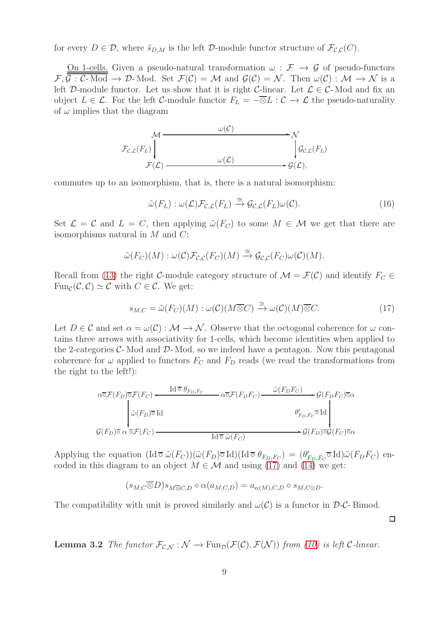for every  $D \in \mathcal{D}$ , where  $\tilde{s}_{D,M}$  is the left  $\mathcal{D}$ -module functor structure of  $\mathcal{F}_{\mathcal{C},\mathcal{C}}(C)$ .

On 1-cells. Given a pseudo-natural transformation  $\omega$ :  $\mathcal{F} \rightarrow \mathcal{G}$  of pseudo-functors  $\mathcal{F}, \overline{\mathcal{G}: \mathcal{C}}$ - Mod  $\rightarrow \mathcal{D}$ - Mod. Set  $\mathcal{F}(\mathcal{C}) = \mathcal{M}$  and  $\mathcal{G}(\mathcal{C}) = \mathcal{N}$ . Then  $\omega(\mathcal{C}): \mathcal{M} \rightarrow \mathcal{N}$  is a left D-module functor. Let us show that it is right C-linear. Let  $\mathcal{L} \in \mathcal{C}$ -Mod and fix an object  $L \in \mathcal{L}$ . For the left C-module functor  $F_L = -\overline{\otimes}L : \mathcal{C} \to \mathcal{L}$  the pseudo-naturality of  $\omega$  implies that the diagram



commutes up to an isomorphism, that is, there is a natural isomorphism:

<span id="page-8-2"></span>
$$
\tilde{\omega}(F_L) : \omega(\mathcal{L}) \mathcal{F}_{\mathcal{C},\mathcal{L}}(F_L) \xrightarrow{\cong} \mathcal{G}_{\mathcal{C},\mathcal{L}}(F_L) \omega(\mathcal{C}).
$$
\n(16)

Set  $\mathcal{L} = \mathcal{C}$  and  $L = C$ , then applying  $\tilde{\omega}(F_C)$  to some  $M \in \mathcal{M}$  we get that there are isomorphisms natural in M and C:

$$
\tilde{\omega}(F_C)(M): \omega(\mathcal{C})\mathcal{F}_{\mathcal{C},\mathcal{C}}(F_C)(M) \stackrel{\cong}{\to} \mathcal{G}_{\mathcal{C},\mathcal{C}}(F_C)\omega(\mathcal{C})(M).
$$

Recall from [\(13\)](#page-7-2) the right C-module category structure of  $\mathcal{M} = \mathcal{F}(\mathcal{C})$  and identify  $F_C \in$  $\text{Fun}_{\mathcal{C}}(\mathcal{C}, \mathcal{C}) \simeq \mathcal{C}$  with  $C \in \mathcal{C}$ . We get:

<span id="page-8-0"></span>
$$
s_{M,C} = \tilde{\omega}(F_C)(M) : \omega(\mathcal{C})(M \overline{\otimes} C) \xrightarrow{\cong} \omega(\mathcal{C})(M) \overline{\otimes} C. \tag{17}
$$

 $\Box$ 

Let  $D \in \mathcal{C}$  and set  $\alpha = \omega(\mathcal{C}) : \mathcal{M} \to \mathcal{N}$ . Observe that the octogonal coherence for  $\omega$  contains three arrows with associativity for 1-cells, which become identities when applied to the 2-categories  $C$ -Mod and  $D$ -Mod, so we indeed have a pentagon. Now this pentagonal coherence for  $\omega$  applied to functors  $F_C$  and  $F_D$  reads (we read the transformations from the right to the left!):

$$
\overline{\omega} \overline{\mathcal{F}}(F_D) \overline{\sigma} \mathcal{F}(F_C) \xrightarrow{\text{Id } \overline{\sigma} \theta_{F_D, F_C}} \overline{\omega} \overline{\mathcal{F}}(F_D F_C) \xrightarrow{\tilde{\omega}(F_D F_C)} \mathcal{G}(F_D F_C) \overline{\sigma} \alpha
$$
\n
$$
\overline{\omega}(F_D) \overline{\sigma} \text{ Id}
$$
\n
$$
\mathcal{G}(F_D) \overline{\sigma} \alpha \overline{\sigma} \mathcal{F}(F_C) \xrightarrow{\text{Id } \overline{\sigma} \tilde{\omega}(F_C)} \overline{\text{Id } \overline{\sigma} \tilde{\omega}(F_C)} \rightarrow \mathcal{G}(F_D) \overline{\sigma} \mathcal{G}(F_C) \overline{\sigma} \alpha
$$

Applying the equation  $(\text{Id} \,\overline{\circ}\,\tilde{\omega}(F_C))(\tilde{\omega}(F_D)\overline{\circ}\,\text{Id})(\text{Id} \,\overline{\circ}\,\theta_{F_D,F_C}) = (\theta'_{F_D,F_C}\overline{\circ}\,\text{Id})\tilde{\omega}(F_D F_C)$  encoded in this diagram to an object  $M \in \mathcal{M}$  and using [\(17\)](#page-8-0) and [\(14\)](#page-7-1) we get:

$$
(s_{M,C}\overline{\otimes}D)s_{M\overline{\otimes}C,D}\circ\alpha(a_{M,C,D})=a_{\alpha(M),C,D}\circ s_{M,C\otimes D}.
$$

The compatibility with unit is proved similarly and  $\omega(C)$  is a functor in  $\mathcal{D}\text{-}\mathcal{C}\text{-Bimod}$ .

<span id="page-8-1"></span>**Lemma 3.2** The functor  $\mathcal{F}_{\mathcal{C},\mathcal{N}}:\mathcal{N}\to \text{Fun}_{\mathcal{D}}(\mathcal{F}(\mathcal{C}),\mathcal{F}(\mathcal{N}))$  from [\(10\)](#page-7-3) is left C-linear.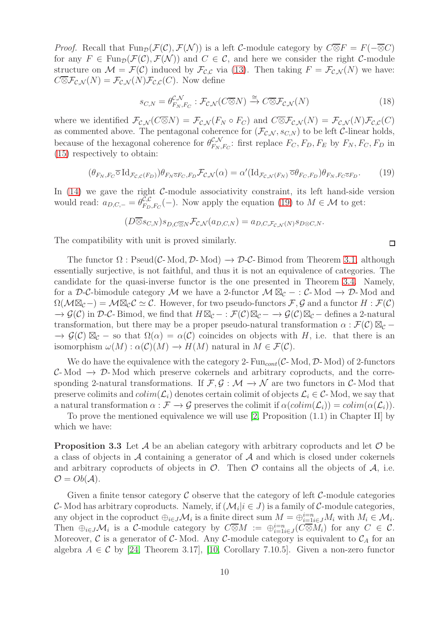*Proof.* Recall that  $\text{Fun}_{\mathcal{D}}(\mathcal{F}(\mathcal{C}), \mathcal{F}(\mathcal{N}))$  is a left C-module category by  $C\overline{\otimes}F = F(-\overline{\otimes}C)$ for any  $F \in \text{Fun}_{\mathcal{D}}(\mathcal{F}(\mathcal{C}), \mathcal{F}(\mathcal{N}))$  and  $C \in \mathcal{C}$ , and here we consider the right  $\mathcal{C}$ -module structure on  $\mathcal{M} = \mathcal{F}(\mathcal{C})$  induced by  $\mathcal{F}_{\mathcal{C},\mathcal{C}}$  via [\(13\)](#page-7-2). Then taking  $F = \mathcal{F}_{\mathcal{C},\mathcal{N}}(N)$  we have:  $C\overline{\otimes}F_{\mathcal{C},\mathcal{N}}(N)=\mathcal{F}_{\mathcal{C},\mathcal{N}}(N)\mathcal{F}_{\mathcal{C},\mathcal{C}}(C)$ . Now define

$$
s_{C,N} = \theta_{F_N, F_C}^{\mathcal{C},\mathcal{N}} : \mathcal{F}_{\mathcal{C},\mathcal{N}}(C \overline{\otimes} N) \xrightarrow{\cong} C \overline{\otimes} \mathcal{F}_{\mathcal{C},\mathcal{N}}(N) \tag{18}
$$

where we identified  $\mathcal{F}_{\mathcal{CN}}(C\overline{\otimes}N) = \mathcal{F}_{\mathcal{CN}}(F_N \circ F_C)$  and  $C\overline{\otimes} \mathcal{F}_{\mathcal{CN}}(N) = \mathcal{F}_{\mathcal{CN}}(N)\mathcal{F}_{\mathcal{CN}}(C)$ as commented above. The pentagonal coherence for  $(\mathcal{F}_{\mathcal{C},\mathcal{N}}, s_{\mathcal{C},N})$  to be left  $\mathcal{C}\text{-linear holds}$ , because of the hexagonal coherence for  $\theta_{F_N}^{\mathcal{C},\mathcal{N}}$  $E_{F_N,F_C}$ : first replace  $F_C, F_D, F_E$  by  $F_N, F_C, F_D$  in [\(15\)](#page-7-4) respectively to obtain:

<span id="page-9-0"></span>
$$
(\theta_{F_N, F_C} \overline{\circ} \operatorname{Id}_{\mathcal{F}_{\mathcal{C}, \mathcal{C}}(F_D)}) \theta_{F_N \overline{\circ} F_C, F_D} \mathcal{F}_{\mathcal{C}, \mathcal{N}}(\alpha) = \alpha'(\operatorname{Id}_{\mathcal{F}_{\mathcal{C}, \mathcal{N}}(F_N)} \overline{\circ} \theta_{F_C, F_D}) \theta_{F_N, F_C \overline{\circ} F_D}.
$$
 (19)

In  $(14)$  we gave the right C-module associativity constraint, its left hand-side version would read:  $a_{D,C,-} = \theta_{F_D}^{\tilde{C},C}$  $\mathcal{L}_{F_D,F_C}^{C,C}(-)$ . Now apply the equation [\(19\)](#page-9-0) to  $M \in \mathcal{M}$  to get:

$$
(D \overline{\otimes} s_{C,N}) s_{D,C\overline{\otimes} N} \mathcal{F}_{C,N}(a_{D,C,N}) = a_{D,C,\mathcal{F}_{C,N}(N)} s_{D\otimes C,N}.
$$

The compatibility with unit is proved similarly.

The functor  $\Omega$ : Pseud(C-Mod, D-Mod)  $\rightarrow$  D-C-Bimod from Theorem [3.1,](#page-6-0) although essentially surjective, is not faithful, and thus it is not an equivalence of categories. The candidate for the quasi-inverse functor is the one presented in Theorem [3.4.](#page-10-0) Namely, for a D-C-bimodule category M we have a 2-functor  $M \boxtimes_{\mathcal{C}} - : C$ -Mod  $\rightarrow$  D-Mod and  $\Omega(\mathcal{M}\boxtimes_{\mathcal{C}}-) = \mathcal{M}\boxtimes_{\mathcal{C}} \mathcal{C} \simeq \mathcal{C}$ . However, for two pseudo-functors  $\mathcal{F}, \mathcal{G}$  and a functor  $H : \mathcal{F}(\mathcal{C})$  $\to \mathcal{G}(\mathcal{C})$  in D-C-Bimod, we find that  $H \boxtimes_{\mathcal{C}} - : \mathcal{F}(\mathcal{C}) \boxtimes_{\mathcal{C}} - \to \mathcal{G}(\mathcal{C}) \boxtimes_{\mathcal{C}} -$  defines a 2-natural transformation, but there may be a proper pseudo-natural transformation  $\alpha$ :  $\mathcal{F}(\mathcal{C}) \boxtimes_{\mathcal{C}}$  $\to \mathcal{G}(\mathcal{C}) \boxtimes_{\mathcal{C}}$  – so that  $\Omega(\alpha) = \alpha(\mathcal{C})$  coincides on objects with H, i.e. that there is an isomorphism  $\omega(M) : \alpha(\mathcal{C})(M) \to H(M)$  natural in  $M \in \mathcal{F}(\mathcal{C})$ .

We do have the equivalence with the category 2-  $Fun_{cont}(\mathcal{C}\text{-Mod}, \mathcal{D}\text{-Mod})$  of 2-functors  $C-$  Mod  $\rightarrow$  D-Mod which preserve cokernels and arbitrary coproducts, and the corresponding 2-natural transformations. If  $\mathcal{F}, \mathcal{G} : \mathcal{M} \to \mathcal{N}$  are two functors in C-Mod that preserve colimits and  $colim(\mathcal{L}_i)$  denotes certain colimit of objects  $\mathcal{L}_i \in \mathcal{C}$ -Mod, we say that a natural transformation  $\alpha : \mathcal{F} \to \mathcal{G}$  preserves the colimit if  $\alpha(colim(\mathcal{L}_i)) = colim(\alpha(\mathcal{L}_i)).$ 

<span id="page-9-1"></span>To prove the mentioned equivalence we will use [\[2,](#page-27-7) Proposition (1.1) in Chapter II] by which we have:

**Proposition 3.3** Let  $\mathcal A$  be an abelian category with arbitrary coproducts and let  $\mathcal O$  be a class of objects in  $\mathcal A$  containing a generator of  $\mathcal A$  and which is closed under cokernels and arbitrary coproducts of objects in  $\mathcal{O}$ . Then  $\mathcal O$  contains all the objects of  $\mathcal A$ , i.e.  $\mathcal{O} = Ob(\mathcal{A}).$ 

Given a finite tensor category  $\mathcal C$  observe that the category of left  $\mathcal C$ -module categories C-Mod has arbitrary coproducts. Namely, if  $(\mathcal{M}_i | i \in J)$  is a family of C-module categories, any object in the coproduct  $\oplus_{i\in J}\mathcal{M}_i$  is a finite direct sum  $M=\oplus_{i=1}^{i=n}M_i$  with  $M_i\in \mathcal{M}_i$ . Then  $\oplus_{i\in J}\mathcal{M}_i$  is a C-module category by  $C\overline{\otimes}M := \oplus_{i=1}^{i=n} (C\overline{\otimes}M_i)$  for any  $C \in \mathcal{C}$ . Moreover,  $\mathcal C$  is a generator of  $\mathcal C$ -Mod. Any  $\mathcal C$ -module category is equivalent to  $\mathcal C_A$  for an algebra  $A \in \mathcal{C}$  by [\[24,](#page-28-10) Theorem 3.17], [\[10,](#page-28-6) Corollary 7.10.5]. Given a non-zero functor

 $\Box$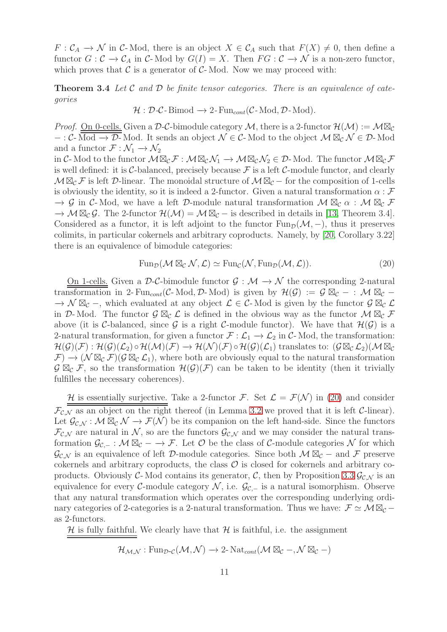$F: \mathcal{C}_A \to \mathcal{N}$  in  $\mathcal{C}\text{-Mod}$ , there is an object  $X \in \mathcal{C}_A$  such that  $F(X) \neq 0$ , then define a functor  $G: \mathcal{C} \to \mathcal{C}_A$  in  $\mathcal{C}\text{-Mod}$  by  $G(I) = X$ . Then  $FG: \mathcal{C} \to \mathcal{N}$  is a non-zero functor, which proves that  $\mathcal C$  is a generator of  $\mathcal C$ -Mod. Now we may proceed with:

<span id="page-10-0"></span>**Theorem 3.4** Let C and D be finite tensor categories. There is an equivalence of categories

$$
\mathcal{H}: \mathcal{D}\text{-}\mathcal{C}\text{-Bimod} \to 2\text{-}\operatorname{Fun}_{cont}(\mathcal{C}\text{-}\operatorname{Mod}, \mathcal{D}\text{-}\operatorname{Mod}).
$$

*Proof.* On 0-cells. Given a D-C-bimodule category M, there is a 2-functor  $\mathcal{H}(\mathcal{M}) := \mathcal{M} \boxtimes_{\mathcal{C}}$ − : C- Mod  $\rightarrow \mathcal{D}$ - Mod. It sends an object  $\mathcal{N} \in \mathcal{C}$ - Mod to the object  $\mathcal{M} \boxtimes_{\mathcal{C}} \mathcal{N} \in \mathcal{D}$ - Mod and a functor  $\mathcal{F} : \mathcal{N}_1 \to \mathcal{N}_2$ 

in C- Mod to the functor  $M\boxtimes_{\mathcal{C}} \mathcal{F}: M\boxtimes_{\mathcal{C}} \mathcal{N}_1 \to M\boxtimes_{\mathcal{C}} \mathcal{N}_2 \in \mathcal{D}$ - Mod. The functor  $M\boxtimes_{\mathcal{C}} \mathcal{F}$ is well defined: it is C-balanced, precisely because  $\mathcal F$  is a left C-module functor, and clearly  $M\boxtimes_{\mathcal{C}} \mathcal{F}$  is left  $\mathcal{D}\text{-linear}$ . The monoidal structure of  $M\boxtimes_{\mathcal{C}}$  – for the composition of 1-cells is obviously the identity, so it is indeed a 2-functor. Given a natural transformation  $\alpha : \mathcal{F}$  $\to$  G in C-Mod, we have a left D-module natural transformation  $\mathcal{M} \boxtimes_{\mathcal{C}} \alpha$  :  $\mathcal{M} \boxtimes_{\mathcal{C}} \mathcal{F}$  $\rightarrow \mathcal{M} \boxtimes_{\mathcal{C}} \mathcal{G}$ . The 2-functor  $\mathcal{H}(\mathcal{M}) = \mathcal{M} \boxtimes_{\mathcal{C}} -$  is described in details in [\[13,](#page-28-11) Theorem 3.4]. Considered as a functor, it is left adjoint to the functor  $\text{Fun}_{\mathcal{D}}(\mathcal{M}, -)$ , thus it preserves colimits, in particular cokernels and arbitrary coproducts. Namely, by [\[20,](#page-28-5) Corollary 3.22] there is an equivalence of bimodule categories:

<span id="page-10-1"></span>
$$
\operatorname{Fun}_{\mathcal{D}}(\mathcal{M} \boxtimes_{\mathcal{C}} \mathcal{N}, \mathcal{L}) \simeq \operatorname{Fun}_{\mathcal{C}}(\mathcal{N}, \operatorname{Fun}_{\mathcal{D}}(\mathcal{M}, \mathcal{L})).
$$
\n(20)

On 1-cells. Given a D-C-bimodule functor  $\mathcal{G} : \mathcal{M} \to \mathcal{N}$  the corresponding 2-natural transformation in 2- Fun<sub>cont</sub>(C- Mod, D- Mod) is given by  $\mathcal{H}(\mathcal{G}) := \mathcal{G} \boxtimes_{\mathcal{C}} - : \mathcal{M} \boxtimes_{\mathcal{C}} \rightarrow \mathcal{N} \boxtimes_{\mathcal{C}}$ , which evaluated at any object  $\mathcal{L} \in \mathcal{C}$ -Mod is given by the functor  $\mathcal{G} \boxtimes_{\mathcal{C}} \mathcal{L}$ in D-Mod. The functor  $\mathcal{G} \boxtimes_{\mathcal{C}} \mathcal{L}$  is defined in the obvious way as the functor  $\mathcal{M} \boxtimes_{\mathcal{C}} \mathcal{F}$ above (it is C-balanced, since G is a right C-module functor). We have that  $\mathcal{H}(\mathcal{G})$  is a 2-natural transformation, for given a functor  $\mathcal{F} : \mathcal{L}_1 \to \mathcal{L}_2$  in  $\mathcal{C}$ -Mod, the transformation:  $\mathcal{H}(\mathcal{G})(\mathcal{F}) : \mathcal{H}(\mathcal{G})(\mathcal{L}_2) \circ \mathcal{H}(\mathcal{M})(\mathcal{F}) \to \mathcal{H}(\mathcal{N})(\mathcal{F}) \circ \mathcal{H}(\mathcal{G})(\mathcal{L}_1)$  translates to:  $(\mathcal{G} \boxtimes_{\mathcal{C}} \mathcal{L}_2)(\mathcal{M} \boxtimes_{\mathcal{C}}$  $\mathcal{F} \to (\mathcal{N} \boxtimes_{\mathcal{C}} \mathcal{F}) (\mathcal{G} \boxtimes_{\mathcal{C}} \mathcal{L}_1)$ , where both are obviously equal to the natural transformation  $\mathcal{G} \boxtimes_{\mathcal{C}} \mathcal{F}$ , so the transformation  $\mathcal{H}(\mathcal{G})(\mathcal{F})$  can be taken to be identity (then it trivially fulfilles the necessary coherences).

H is essentially surjective. Take a 2-functor F. Set  $\mathcal{L} = \mathcal{F}(\mathcal{N})$  in [\(20\)](#page-10-1) and consider  $\mathcal{F}_{\mathcal{C},\mathcal{N}}$  as an object on the right thereof (in Lemma [3.2](#page-8-1) we proved that it is left C-linear). Let  $\mathcal{G}_{\mathcal{C},\mathcal{N}}:\mathcal{M}\boxtimes_{\mathcal{C}}\mathcal{N}\to\mathcal{F}(\mathcal{N})$  be its companion on the left hand-side. Since the functors  $\mathcal{F}_{\mathcal{CN}}$  are natural in N, so are the functors  $\mathcal{G}_{\mathcal{CN}}$  and we may consider the natural transformation  $\mathcal{G}_{\mathcal{C},-}: \mathcal{M} \boxtimes_{\mathcal{C}} \longrightarrow \mathcal{F}$ . Let  $\mathcal{O}$  be the class of  $\mathcal{C}\text{-module categories }\mathcal{N}$  for which  $\mathcal{G}_{\mathcal{CN}}$  is an equivalence of left D-module categories. Since both  $\mathcal{M} \boxtimes_{\mathcal{C}} -$  and F preserve cokernels and arbitrary coproducts, the class  $\mathcal O$  is closed for cokernels and arbitrary co-products. Obviously C-Mod contains its generator, C, then by Proposition [3.3](#page-9-1)  $\mathcal{G}_{\mathcal{CN}}$  is an equivalence for every C-module category  $\mathcal{N}$ , i.e.  $\mathcal{G}_{\mathcal{C},-}$  is a natural isomorphism. Observe that any natural transformation which operates over the corresponding underlying ordinary categories of 2-categories is a 2-natural transformation. Thus we have:  $\mathcal{F} \simeq \mathcal{M} \boxtimes_{\mathcal{C}}$ as 2-functors.

 $H$  is fully faithful. We clearly have that  $H$  is faithful, i.e. the assignment

$$
\mathcal{H}_{\mathcal{M},\mathcal{N}}: \mathrm{Fun}_{\mathcal{D}\text{-}\mathcal{C}}(\mathcal{M},\mathcal{N}) \to 2\text{-}\mathrm{Nat}_{cont}(\mathcal{M} \boxtimes_{\mathcal{C}} -, \mathcal{N} \boxtimes_{\mathcal{C}} -)
$$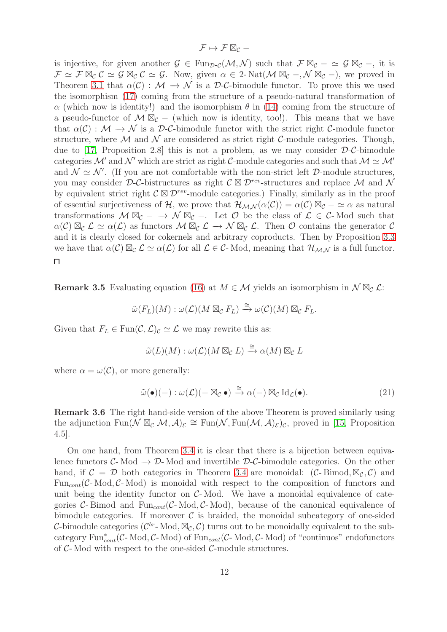$$
\mathcal{F} \mapsto \mathcal{F} \boxtimes_{\mathcal{C}} -
$$

is injective, for given another  $\mathcal{G} \in \text{Fun}_{\mathcal{D}\text{-}\mathcal{C}}(\mathcal{M}, \mathcal{N})$  such that  $\mathcal{F} \boxtimes_{\mathcal{C}} - \simeq \mathcal{G} \boxtimes_{\mathcal{C}} -$ , it is  $\mathcal{F} \simeq \mathcal{F} \boxtimes_{\mathcal{C}} \mathcal{C} \simeq \mathcal{G} \boxtimes_{\mathcal{C}} \mathcal{C} \simeq \mathcal{G}$ . Now, given  $\alpha \in 2$ -Nat $(\mathcal{M} \boxtimes_{\mathcal{C}} -$ ,  $\mathcal{N} \boxtimes_{\mathcal{C}} -)$ , we proved in Theorem [3.1](#page-6-0) that  $\alpha(\mathcal{C}) : \mathcal{M} \to \mathcal{N}$  is a D-C-bimodule functor. To prove this we used the isomorphism [\(17\)](#page-8-0) coming from the structure of a pseudo-natural transformation of  $\alpha$  (which now is identity!) and the isomorphism  $\theta$  in [\(14\)](#page-7-1) coming from the structure of a pseudo-functor of  $\mathcal{M} \boxtimes_{\mathcal{C}}$  – (which now is identity, too!). This means that we have that  $\alpha(\mathcal{C}) : \mathcal{M} \to \mathcal{N}$  is a D-C-bimodule functor with the strict right C-module functor structure, where  $\mathcal M$  and  $\mathcal N$  are considered as strict right C-module categories. Though, due to [\[17,](#page-28-12) Proposition 2.8] this is not a problem, as we may consider  $\mathcal{D}\text{-}\mathcal{C}\text{-bimodule}$ categories M' and N' which are strict as right C-module categories and such that  $\mathcal{M} \simeq \mathcal{M}'$ and  $\mathcal{N} \simeq \mathcal{N}'$ . (If you are not comfortable with the non-strict left D-module structures, you may consider D-C-bistructures as right  $\mathcal{C} \boxtimes \mathcal{D}^{rev}$ -structures and replace M and N by equivalent strict right  $\mathcal{C} \boxtimes \mathcal{D}^{rev}$ -module categories.) Finally, similarly as in the proof of essential surjectiveness of H, we prove that  $\mathcal{H}_{\mathcal{M},\mathcal{N}}(\alpha(\mathcal{C})) = \alpha(\mathcal{C}) \boxtimes_{\mathcal{C}} -\alpha$  as natural transformations  $M \boxtimes_{\mathcal{C}} - \rightarrow \mathcal{N} \boxtimes_{\mathcal{C}} -$ . Let  $\mathcal{O}$  be the class of  $\mathcal{L} \in \mathcal{C}$ -Mod such that  $\alpha(\mathcal{C}) \boxtimes_{\mathcal{C}} \mathcal{L} \simeq \alpha(\mathcal{L})$  as functors  $\mathcal{M} \boxtimes_{\mathcal{C}} \mathcal{L} \rightarrow \mathcal{N} \boxtimes_{\mathcal{C}} \mathcal{L}$ . Then  $\mathcal{O}$  contains the generator  $\mathcal{C}$ and it is clearly closed for cokernels and arbitrary coproducts. Then by Proposition [3.3](#page-9-1) we have that  $\alpha(\mathcal{C}) \boxtimes_{\mathcal{C}} \mathcal{L} \simeq \alpha(\mathcal{L})$  for all  $\mathcal{L} \in \mathcal{C}$ -Mod, meaning that  $\mathcal{H}_{\mathcal{M},\mathcal{N}}$  is a full functor.  $\Box$ 

**Remark 3.5** Evaluating equation [\(16\)](#page-8-2) at  $M \in \mathcal{M}$  yields an isomorphism in  $\mathcal{N} \boxtimes_{\mathcal{C}} \mathcal{L}$ :

$$
\tilde{\omega}(F_L)(M): \omega(\mathcal{L})(M \boxtimes_{\mathcal{C}} F_L) \xrightarrow{\cong} \omega(\mathcal{C})(M) \boxtimes_{\mathcal{C}} F_L.
$$

Given that  $F_L \in \text{Fun}(\mathcal{C}, \mathcal{L})_{\mathcal{C}} \simeq \mathcal{L}$  we may rewrite this as:

$$
\tilde{\omega}(L)(M): \omega(\mathcal{L})(M \boxtimes_{\mathcal{C}} L) \xrightarrow{\cong} \alpha(M) \boxtimes_{\mathcal{C}} L
$$

where  $\alpha = \omega(\mathcal{C})$ , or more generally:

$$
\tilde{\omega}(\bullet)(-) : \omega(\mathcal{L})(-\boxtimes_{\mathcal{C}} \bullet) \stackrel{\cong}{\to} \alpha(-) \boxtimes_{\mathcal{C}} \mathrm{Id}_{\mathcal{L}}(\bullet). \tag{21}
$$

Remark 3.6 The right hand-side version of the above Theorem is proved similarly using the adjunction  $\text{Fun}(\overline{\mathcal{N}} \boxtimes_{\mathcal{C}} \mathcal{M}, \mathcal{A})_{\mathcal{E}} \cong \text{Fun}(\mathcal{N}, \text{Fun}(\mathcal{M}, \mathcal{A})_{\mathcal{E}})_{\mathcal{C}}$ , proved in [\[15,](#page-28-0) Proposition 4.5].

On one hand, from Theorem [3.4](#page-10-0) it is clear that there is a bijection between equivalence functors  $C-$  Mod  $\rightarrow$  D-Mod and invertible D-C-bimodule categories. On the other hand, if  $C = \mathcal{D}$  both categories in Theorem [3.4](#page-10-0) are monoidal:  $(C- Bimod, \mathbb{Z}_c, C)$  and Fun<sub>cont</sub>  $(C-$  Mod,  $C-$  Mod) is monoidal with respect to the composition of functors and unit being the identity functor on  $C$ - Mod. We have a monoidal equivalence of categories C- Bimod and Fun<sub>cont</sub> (C-Mod, C-Mod), because of the canonical equivalence of bimodule categories. If moreover  $\mathcal C$  is braided, the monoidal subcategory of one-sided C-bimodule categories ( $\mathcal{C}^{br}$ -Mod,  $\mathbb{Z}_{\mathcal{C}}$ ,  $\mathcal{C}$ ) turns out to be monoidally equivalent to the subcategory  $\text{Fun}^*_{cont}(\mathcal{C}\text{-Mod}) \to \text{Fun}_{cont}(\mathcal{C}\text{-Mod}) \to \text{Mod}$  of "continuos" endofunctors of  $C$ -Mod with respect to the one-sided  $C$ -module structures.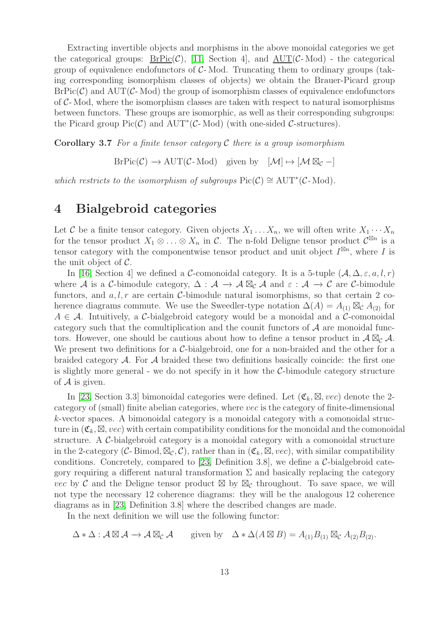Extracting invertible objects and morphisms in the above monoidal categories we get the categorical groups:  $BrPic(\mathcal{C})$ , [\[11,](#page-28-3) Section 4], and  $AUT(\mathcal{C}\text{-Mod})$  - the categorical group of equivalence endofunctors of  $C$ -Mod. Truncating them to ordinary groups (taking corresponding isomorphism classes of objects) we obtain the Brauer-Picard group  $BrPic(\mathcal{C})$  and  $AUT(\mathcal{C}\text{-Mod})$  the group of isomorphism classes of equivalence endofunctors of  $C$ - Mod, where the isomorphism classes are taken with respect to natural isomorphisms between functors. These groups are isomorphic, as well as their corresponding subgroups: the Picard group  $Pic(\mathcal{C})$  and  $AUT^*(\mathcal{C}\text{-Mod})$  (with one-sided  $\mathcal{C}\text{-structures}$ ).

<span id="page-12-2"></span>**Corollary 3.7** For a finite tensor category C there is a group isomorphism

 $BrPic(\mathcal{C}) \longrightarrow \text{AUT}(\mathcal{C}\text{-Mod})$  given by  $[\mathcal{M}] \mapsto [\mathcal{M} \boxtimes_{\mathcal{C}} -]$ 

which restricts to the isomorphism of subgroups  $Pic(\mathcal{C}) \cong \text{AUT}^*(\mathcal{C}\text{-Mod}).$ 

### <span id="page-12-0"></span>4 Bialgebroid categories

Let C be a finite tensor category. Given objects  $X_1 \ldots X_n$ , we will often write  $X_1 \cdots X_n$ for the tensor product  $X_1 \otimes \ldots \otimes X_n$  in C. The n-fold Deligne tensor product  $\mathcal{C}^{\boxtimes n}$  is a tensor category with the componentwise tensor product and unit object  $I^{\boxtimes n}$ , where I is the unit object of  $\mathcal{C}$ .

In [\[16,](#page-28-1) Section 4] we defined a C-comonoidal category. It is a 5-tuple  $(A, \Delta, \varepsilon, a, l, r)$ where A is a C-bimodule category,  $\Delta : \mathcal{A} \to \mathcal{A} \boxtimes_{\mathcal{C}} \mathcal{A}$  and  $\varepsilon : \mathcal{A} \to \mathcal{C}$  are C-bimodule functors, and  $a, l, r$  are certain C-bimodule natural isomorphisms, so that certain 2 coherence diagrams commute. We use the Sweedler-type notation  $\Delta(A) = A_{(1)} \boxtimes_{\mathcal{C}} A_{(2)}$  for  $A \in \mathcal{A}$ . Intuitively, a C-bialgebroid category would be a monoidal and a C-comonoidal category such that the comultiplication and the counit functors of  $A$  are monoidal functors. However, one should be cautious about how to define a tensor product in  $A \boxtimes_{\mathcal{C}} A$ . We present two definitions for a  $C$ -bialgebroid, one for a non-braided and the other for a braided category  $A$ . For  $A$  braided these two definitions basically coincide: the first one is slightly more general - we do not specify in it how the C-bimodule category structure of  $\mathcal A$  is given.

In [\[23,](#page-28-8) Section 3.3] bimonoidal categories were defined. Let  $(\mathfrak{C}_k, \boxtimes, vec)$  denote the 2category of (small) finite abelian categories, where vec is the category of finite-dimensional k-vector spaces. A bimonoidal category is a monoidal category with a comonoidal structure in  $(\mathfrak{C}_k, \boxtimes, vec)$  with certain compatibility conditions for the monoidal and the comonoidal structure. A C-bialgebroid category is a monoidal category with a comonoidal structure in the 2-category (C-Bimod,  $\mathbb{Z}_{\mathcal{C}}$ , C), rather than in  $(\mathfrak{C}_k, \mathbb{Z}, vec)$ , with similar compatibility conditions. Concretely, compared to [\[23,](#page-28-8) Definition 3.8], we define a  $C$ -bialgebroid category requiring a different natural transformation  $\Sigma$  and basically replacing the category vec by C and the Deligne tensor product  $\boxtimes$  by  $\boxtimes_{\mathcal{C}}$  throughout. To save space, we will not type the necessary 12 coherence diagrams: they will be the analogous 12 coherence diagrams as in [\[23,](#page-28-8) Definition 3.8] where the described changes are made.

In the next definition we will use the following functor:

<span id="page-12-1"></span>
$$
\Delta * \Delta : \mathcal{A} \boxtimes \mathcal{A} \to \mathcal{A} \boxtimes_{\mathcal{C}} \mathcal{A} \quad \text{given by} \quad \Delta * \Delta(A \boxtimes B) = A_{(1)} B_{(1)} \boxtimes_{\mathcal{C}} A_{(2)} B_{(2)}.
$$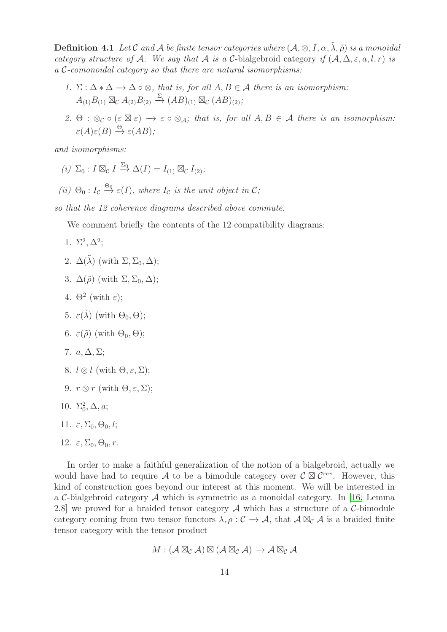**Definition 4.1** Let C and A be finite tensor categories where  $(A, \otimes, I, \alpha, \tilde{\lambda}, \tilde{\rho})$  is a monoidal category structure of A. We say that A is a C-bialgebroid category if  $(A, \Delta, \varepsilon, a, l, r)$  is a C-comonoidal category so that there are natural isomorphisms:

- 1.  $\Sigma : \Delta * \Delta \to \Delta \circ \otimes$ , that is, for all  $A, B \in \mathcal{A}$  there is an isomorphism:  $A_{(1)}B_{(1)} \boxtimes_{\mathcal{C}} A_{(2)}B_{(2)} \stackrel{\Sigma}{\rightarrow} (AB)_{(1)} \boxtimes_{\mathcal{C}} (AB)_{(2)};$
- 2. Θ :  $\otimes_{\mathcal{C}} \circ (\varepsilon \boxtimes \varepsilon) \rightarrow \varepsilon \circ \otimes_{\mathcal{A}}$ ; that is, for all  $A, B \in \mathcal{A}$  there is an isomorphism:  $\varepsilon(A)\varepsilon(B) \stackrel{\Theta}{\rightarrow} \varepsilon(AB);$

and isomorphisms:

- (i)  $\Sigma_0: I \boxtimes_{\mathcal{C}} I \stackrel{\Sigma_0}{\rightarrow} \Delta(I) = I_{(1)} \boxtimes_{\mathcal{C}} I_{(2)};$
- (ii)  $\Theta_0: I_{\mathcal{C}} \stackrel{\Theta_0}{\rightarrow} \varepsilon(I)$ , where  $I_{\mathcal{C}}$  is the unit object in  $\mathcal{C}$ ;

so that the 12 coherence diagrams described above commute.

We comment briefly the contents of the 12 compatibility diagrams:

- 1.  $\Sigma^2, \Delta^2;$
- 2.  $\Delta(\tilde{\lambda})$  (with  $\Sigma$ ,  $\Sigma_0$ ,  $\Delta$ );
- 3.  $\Delta(\tilde{\rho})$  (with  $\Sigma, \Sigma_0, \Delta$ );
- 4.  $\Theta^2$  (with  $\varepsilon$ );
- 5.  $\varepsilon(\tilde{\lambda})$  (with  $\Theta_0, \Theta$ );
- 6.  $\varepsilon(\tilde{\rho})$  (with  $\Theta_0$ ,  $\Theta$ );
- 7.  $a, \Delta, \Sigma$ :
- 8.  $l \otimes l$  (with  $\Theta, \varepsilon, \Sigma$ );
- 9.  $r \otimes r$  (with  $\Theta, \varepsilon, \Sigma$ );
- 10.  $\Sigma_0^2$ ,  $\Delta$ ,  $a$ ;
- 11.  $\varepsilon, \Sigma_0, \Theta_0, l;$
- 12.  $\varepsilon$ ,  $\Sigma_0$ ,  $\Theta_0$ , r.

In order to make a faithful generalization of the notion of a bialgebroid, actually we would have had to require A to be a bimodule category over  $\mathcal{C} \boxtimes \mathcal{C}^{rev}$ . However, this kind of construction goes beyond our interest at this moment. We will be interested in a C-bialgebroid category  $\mathcal A$  which is symmetric as a monoidal category. In [\[16,](#page-28-1) Lemma 2.8] we proved for a braided tensor category  $A$  which has a structure of a  $C$ -bimodule category coming from two tensor functors  $\lambda, \rho : C \to \mathcal{A}$ , that  $\mathcal{A} \boxtimes_{\mathcal{C}} \mathcal{A}$  is a braided finite tensor category with the tensor product

$$
M: (\mathcal{A} \boxtimes_{\mathcal{C}} \mathcal{A}) \boxtimes (\mathcal{A} \boxtimes_{\mathcal{C}} \mathcal{A}) \longrightarrow \mathcal{A} \boxtimes_{\mathcal{C}} \mathcal{A}
$$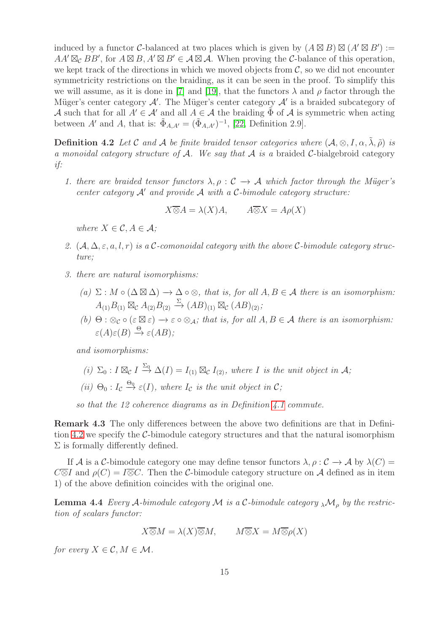induced by a functor C-balanced at two places which is given by  $(A \boxtimes B) \boxtimes (A' \boxtimes B') :=$  $AA' \boxtimes_{\mathcal{C}} BB'$ , for  $A \boxtimes B$ ,  $A' \boxtimes B' \in \mathcal{A} \boxtimes \mathcal{A}$ . When proving the C-balance of this operation, we kept track of the directions in which we moved objects from  $\mathcal{C}$ , so we did not encounter symmetricity restrictions on the braiding, as it can be seen in the proof. To simplify this we will assume, as it is done in [\[7\]](#page-27-8) and [\[19\]](#page-28-13), that the functors  $\lambda$  and  $\rho$  factor through the Müger's center category  $\mathcal{A}'$ . The Müger's center category  $\mathcal{A}'$  is a braided subcategory of A such that for all  $A' \in \mathcal{A}'$  and all  $A \in \mathcal{A}$  the braiding  $\tilde{\Phi}$  of  $\mathcal{A}$  is symmetric when acting between A' and A, that is:  $\tilde{\Phi}_{A,A'} = (\tilde{\Phi}_{A,A'})^{-1}$ , [\[22,](#page-28-14) Definition 2.9].

<span id="page-14-0"></span>**Definition 4.2** Let C and A be finite braided tensor categories where  $(A, \otimes, I, \alpha, \lambda, \tilde{\rho})$  is a monoidal category structure of A. We say that A is a braided C-bialgebroid category if:

1. there are braided tensor functors  $\lambda, \rho : C \to A$  which factor through the Müger's center category  $A'$  and provide  $A$  with a C-bimodule category structure:

$$
X \overline{\otimes} A = \lambda(X)A, \qquad A \overline{\otimes} X = A\rho(X)
$$

where  $X \in \mathcal{C}, A \in \mathcal{A}$ ;

- 2.  $(A, \Delta, \varepsilon, a, l, r)$  is a C-comonoidal category with the above C-bimodule category structure;
- 3. there are natural isomorphisms:
	- (a)  $\Sigma : M \circ (\Delta \boxtimes \Delta) \to \Delta \circ \otimes$ , that is, for all  $A, B \in \mathcal{A}$  there is an isomorphism:  $A_{(1)}B_{(1)} \boxtimes_{\mathcal{C}} A_{(2)}B_{(2)} \stackrel{\Sigma}{\rightarrow} (AB)_{(1)} \boxtimes_{\mathcal{C}} (AB)_{(2)};$
	- (b)  $\Theta$ :  $\otimes_{\mathcal{C}} \circ (\varepsilon \boxtimes \varepsilon) \to \varepsilon \circ \otimes_A$ ; that is, for all  $A, B \in \mathcal{A}$  there is an isomorphism:  $\varepsilon(A)\varepsilon(B) \stackrel{\Theta}{\rightarrow} \varepsilon(AB);$

and isomorphisms:

- (i)  $\Sigma_0: I \boxtimes_{\mathcal{C}} I \stackrel{\Sigma_0}{\to} \Delta(I) = I_{(1)} \boxtimes_{\mathcal{C}} I_{(2)}$ , where I is the unit object in A;
- (ii)  $\Theta_0: I_c \stackrel{\Theta_0}{\rightarrow} \varepsilon(I)$ , where  $I_c$  is the unit object in  $\mathcal{C}$ ;

so that the 12 coherence diagrams as in Definition [4.1](#page-12-1) commute.

Remark 4.3 The only differences between the above two definitions are that in Definition [4.2](#page-14-0) we specify the C-bimodule category structures and that the natural isomorphism  $\Sigma$  is formally differently defined.

If A is a C-bimodule category one may define tensor functors  $\lambda$ ,  $\rho$  :  $\mathcal{C} \to \mathcal{A}$  by  $\lambda(C) =$  $C\overline{\otimes}I$  and  $\rho(C) = I\overline{\otimes}C$ . Then the C-bimodule category structure on A defined as in item 1) of the above definition coincides with the original one.

<span id="page-14-1"></span>**Lemma 4.4** Every A-bimodule category M is a C-bimodule category  $_{\lambda}M_{\rho}$  by the restriction of scalars functor:

 $X\overline{\otimes}M = \lambda(X)\overline{\otimes}M$ ,  $M\overline{\otimes}X = M\overline{\otimes}\rho(X)$ 

for every  $X \in \mathcal{C}, M \in \mathcal{M}$ .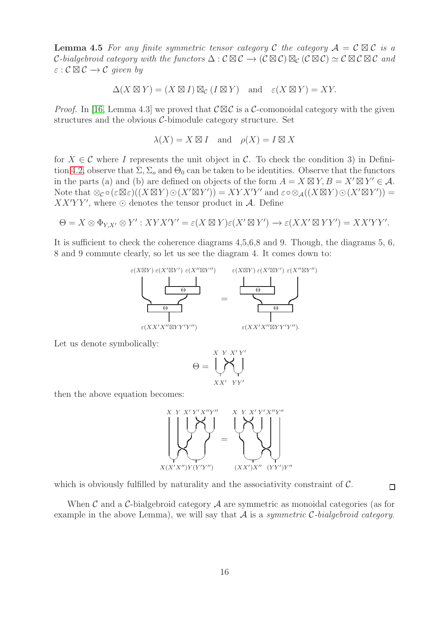**Lemma 4.5** For any finite symmetric tensor category C the category  $A = C \boxtimes C$  is a C-bialgebroid category with the functors  $\Delta : \mathcal{C} \boxtimes \mathcal{C} \to (\mathcal{C} \boxtimes \mathcal{C}) \boxtimes_{\mathcal{C}} (\mathcal{C} \boxtimes \mathcal{C}) \simeq \mathcal{C} \boxtimes \mathcal{C} \boxtimes \mathcal{C}$  and  $\varepsilon : \mathcal{C} \boxtimes \mathcal{C} \rightarrow \mathcal{C}$  given by

$$
\Delta(X \boxtimes Y) = (X \boxtimes I) \boxtimes_{\mathcal{C}} (I \boxtimes Y) \text{ and } \varepsilon(X \boxtimes Y) = XY.
$$

*Proof.* In [\[16,](#page-28-1) Lemma 4.3] we proved that  $\mathcal{C}\boxtimes\mathcal{C}$  is a C-comonoidal category with the given structures and the obvious C-bimodule category structure. Set

$$
\lambda(X) = X \boxtimes I \quad \text{and} \quad \rho(X) = I \boxtimes X
$$

for  $X \in \mathcal{C}$  where I represents the unit object in  $\mathcal{C}$ . To check the condition 3) in Defini-tion [4.2,](#page-14-0) observe that  $\Sigma$ ,  $\Sigma_o$  and  $\Theta_0$  can be taken to be identities. Observe that the functors in the parts (a) and (b) are defined on objects of the form  $A = X \boxtimes Y$ ,  $B = X' \boxtimes Y' \in \mathcal{A}$ . Note that  $\otimes_{\mathcal{C}} \circ (\varepsilon \boxtimes \varepsilon)((X \boxtimes Y) \odot (X' \boxtimes Y')) = XYX'Y'$  and  $\varepsilon \circ \otimes_{\mathcal{A}}((X \boxtimes Y) \odot (X' \boxtimes Y')) =$  $XX'YY'$ , where  $\odot$  denotes the tensor product in A. Define

$$
\Theta = X \otimes \Phi_{Y,X'} \otimes Y' : XYX'Y' = \varepsilon(X \boxtimes Y)\varepsilon(X' \boxtimes Y') \longrightarrow \varepsilon(XX' \boxtimes YY') = XX'YY'.
$$

It is sufficient to check the coherence diagrams 4,5,6,8 and 9. Though, the diagrams 5, 6, 8 and 9 commute clearly, so let us see the diagram 4. It comes down to:



Let us denote symbolically:

$$
\Theta = \underbrace{\bigcup_{X X' \ Y Y'}^{X Y Y'}}_{X X' \ Y Y'}
$$

then the above equation becomes:



which is obviously fulfilled by naturality and the associativity constraint of  $\mathcal{C}$ .

When  $\mathcal C$  and a  $\mathcal C$ -bialgebroid category  $\mathcal A$  are symmetric as monoidal categories (as for example in the above Lemma), we will say that  $A$  is a symmetric C-bialgebroid category.

 $\Box$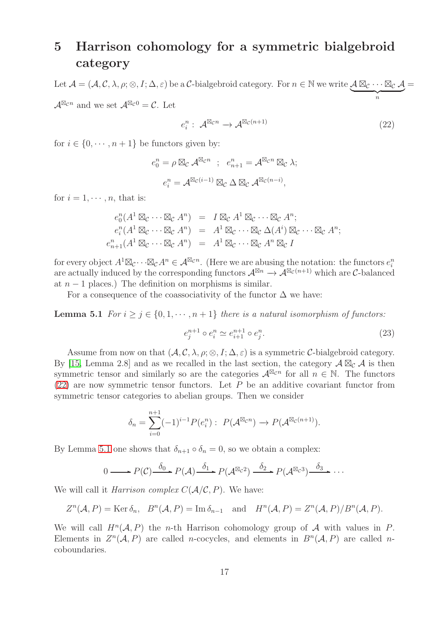## <span id="page-16-0"></span>5 Harrison cohomology for a symmetric bialgebroid category

Let  $\mathcal{A} = (\mathcal{A}, \mathcal{C}, \lambda, \rho; \otimes, I; \Delta, \varepsilon)$  be a  $\mathcal{C}\text{-bialgebraoid category.}$  For  $n \in \mathbb{N}$  we write  $\mathcal{A} \boxtimes_{\mathcal{C}} \cdots \boxtimes_{\mathcal{C}} \mathcal{A}$  $\overbrace{\qquad \qquad }^{n}$ =  $\mathcal{A}^{\boxtimes_{\mathcal{C}} n}$  and we set  $\mathcal{A}^{\boxtimes_{\mathcal{C}} 0} = \mathcal{C}$ . Let

<span id="page-16-1"></span>
$$
e_i^n: \mathcal{A}^{\boxtimes_{\mathcal{C}} n} \to \mathcal{A}^{\boxtimes_{\mathcal{C}} (n+1)} \tag{22}
$$

for  $i \in \{0, \dots, n+1\}$  be functors given by:

$$
e_0^n = \rho \boxtimes_{\mathcal{C}} \mathcal{A}^{\boxtimes_{\mathcal{C}} n} \; ; \; e_{n+1}^n = \mathcal{A}^{\boxtimes_{\mathcal{C}} n} \boxtimes_{\mathcal{C}} \lambda;
$$

$$
e_i^n = \mathcal{A}^{\boxtimes_{\mathcal{C}} (i-1)} \boxtimes_{\mathcal{C}} \Delta \boxtimes_{\mathcal{C}} \mathcal{A}^{\boxtimes_{\mathcal{C}} (n-i)},
$$

for  $i = 1, \dots, n$ , that is:

$$
e_0^n(A^1 \boxtimes_{\mathcal{C}} \cdots \boxtimes_{\mathcal{C}} A^n) = I \boxtimes_{\mathcal{C}} A^1 \boxtimes_{\mathcal{C}} \cdots \boxtimes_{\mathcal{C}} A^n;
$$
  
\n
$$
e_i^n(A^1 \boxtimes_{\mathcal{C}} \cdots \boxtimes_{\mathcal{C}} A^n) = A^1 \boxtimes_{\mathcal{C}} \cdots \boxtimes_{\mathcal{C}} \Delta(A^i) \boxtimes_{\mathcal{C}} \cdots \boxtimes_{\mathcal{C}} A^n;
$$
  
\n
$$
e_{n+1}^n(A^1 \boxtimes_{\mathcal{C}} \cdots \boxtimes_{\mathcal{C}} A^n) = A^1 \boxtimes_{\mathcal{C}} \cdots \boxtimes_{\mathcal{C}} A^n \boxtimes_{\mathcal{C}} I
$$

for every object  $A^1 \boxtimes_{\mathcal{C}} \cdots \boxtimes_{\mathcal{C}} A^n \in \mathcal{A}^{\boxtimes_{\mathcal{C}} n}$ . (Here we are abusing the notation: the functors  $e_i^n$ are actually induced by the corresponding functors  $\mathcal{A}^{\boxtimes n} \to \mathcal{A}^{\boxtimes_{\mathcal{C}} (n+1)}$  which are C-balanced at  $n-1$  places.) The definition on morphisms is similar.

<span id="page-16-2"></span>For a consequence of the coassociativity of the functor  $\Delta$  we have:

**Lemma 5.1** For  $i \geq j \in \{0, 1, \dots, n+1\}$  there is a natural isomorphism of functors:

$$
e_j^{n+1} \circ e_i^n \simeq e_{i+1}^{n+1} \circ e_j^n. \tag{23}
$$

Assume from now on that  $(A, \mathcal{C}, \lambda, \rho; \otimes, I; \Delta, \varepsilon)$  is a symmetric C-bialgebroid category. By [\[15,](#page-28-0) Lemma 2.8] and as we recalled in the last section, the category  $\mathcal{A} \boxtimes_{\mathcal{C}} \mathcal{A}$  is then symmetric tensor and similarly so are the categories  $\mathcal{A}^{\boxtimes_{\mathcal{C}} n}$  for all  $n \in \mathbb{N}$ . The functors  $(22)$  are now symmetric tensor functors. Let P be an additive covariant functor from symmetric tensor categories to abelian groups. Then we consider

$$
\delta_n = \sum_{i=0}^{n+1} (-1)^{i-1} P(e_i^n) : P(\mathcal{A}^{\boxtimes_{\mathcal{C}} n}) \to P(\mathcal{A}^{\boxtimes_{\mathcal{C}} (n+1)}).
$$

By Lemma [5.1](#page-16-2) one shows that  $\delta_{n+1} \circ \delta_n = 0$ , so we obtain a complex:

$$
0 \longrightarrow P(\mathcal{C}) \xrightarrow{\delta_0} P(\mathcal{A}) \xrightarrow{\delta_1} P(\mathcal{A}^{\boxtimes_{\mathcal{C}}2}) \xrightarrow{\delta_2} P(\mathcal{A}^{\boxtimes_{\mathcal{C}}3}) \xrightarrow{\delta_3} \cdots
$$

We will call it *Harrison complex*  $C(\mathcal{A}/\mathcal{C}, P)$ . We have:

$$
Z^n(\mathcal{A}, P) = \text{Ker }\delta_n
$$
,  $B^n(\mathcal{A}, P) = \text{Im }\delta_{n-1}$  and  $H^n(\mathcal{A}, P) = Z^n(\mathcal{A}, P)/B^n(\mathcal{A}, P)$ .

<span id="page-16-3"></span>We will call  $H^n(\mathcal{A}, P)$  the *n*-th Harrison cohomology group of  $\mathcal A$  with values in P. Elements in  $Z^n(\mathcal{A}, P)$  are called *n*-cocycles, and elements in  $B^n(\mathcal{A}, P)$  are called *n*coboundaries.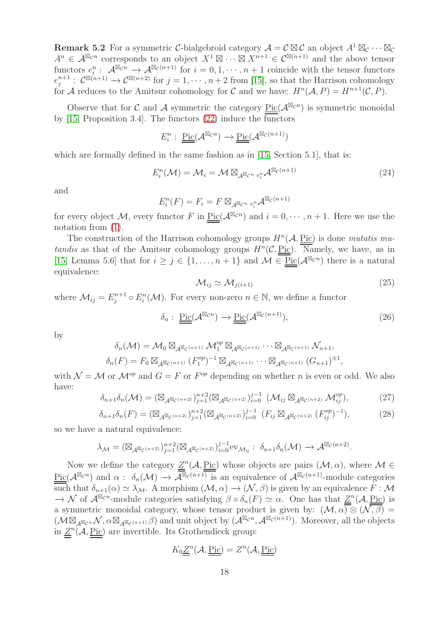**Remark 5.2** For a symmetric C-bialgebroid category  $\mathcal{A} = \mathcal{C} \boxtimes \mathcal{C}$  an object  $A^1 \boxtimes_{\mathcal{C}} \cdots \boxtimes_{\mathcal{C}}$  $A^n \in \mathcal{A}^{\boxtimes_{\mathcal{C}} n}$  corresponds to an object  $X^1 \boxtimes \cdots \boxtimes X^{n+1} \in \mathcal{C}^{\boxtimes (n+1)}$  and the above tensor functors  $e_i^n : \mathcal{A}^{\boxtimes_{\mathcal{C}} n} \to \mathcal{A}^{\boxtimes_{\mathcal{C}} (n+1)}$  for  $i = 0, 1, \cdots, n+1$  coincide with the tensor functors  $e_j^{n+1}: \mathcal{C}^{\boxtimes (n+1)} \to \mathcal{C}^{\boxtimes (n+2)}$  for  $j = 1, \cdots, n+2$  from [\[15\]](#page-28-0), so that the Harrison cohomology for A reduces to the Amitsur cohomology for C and we have:  $H^n(\mathcal{A}, P) = H^{n+1}(\mathcal{C}, P)$ .

Observe that for C and A symmetric the category  $Pic(\mathcal{A}^{\boxtimes_{\mathcal{C}} n})$  is symmetric monoidal by [\[15,](#page-28-0) Proposition 3.4]. The functors [\(22\)](#page-16-1) induce the functors

$$
E_i^n: \underline{\underline{\mathrm{Pic}}}(\mathcal{A}^{\boxtimes_{\mathcal{C}} n}) \to \underline{\underline{\mathrm{Pic}}}(\mathcal{A}^{\boxtimes_{\mathcal{C}} (n+1)})
$$

which are formally defined in the same fashion as in [\[15,](#page-28-0) Section 5.1], that is:

<span id="page-17-0"></span>
$$
E_i^n(\mathcal{M}) = \mathcal{M}_i = \mathcal{M} \boxtimes_{\mathcal{A}^{\boxtimes}c^n} e_i^n \mathcal{A}^{\boxtimes c(n+1)}
$$
\n(24)

and

$$
E_i^n(F) = F_i = F \boxtimes_{\mathcal{A}^{\boxtimes_{\mathcal{C}^n}} e_i^n} \mathcal{A}^{\boxtimes_{\mathcal{C}} (n+1)}
$$

for every object M, every functor F in  $Pic(\mathcal{A}^{\boxtimes_{\mathcal{C}} n})$  and  $i=0,\cdots,n+1$ . Here we use the notation from [\(1\)](#page-2-0).

The construction of the Harrison cohomology groups  $H<sup>n</sup>(A, Pic)$  is done mutatis mutandis as that of the Amitsur cohomology groups  $H<sup>n</sup>(C, Pic)$ . Namely, we have, as in [\[15,](#page-28-0) Lemma 5.6] that for  $i \geq j \in \{1, \ldots, n+1\}$  and  $\mathcal{M} \in \text{Pic}(\mathcal{A}^{\boxtimes_{\mathcal{C}} n})$  there is a natural equivalence:

$$
\mathcal{M}_{ij} \simeq \mathcal{M}_{j(i+1)} \tag{25}
$$

where  $\mathcal{M}_{ij} = E_j^{n+1} \circ E_i^n(\mathcal{M})$ . For every non-zero  $n \in \mathbb{N}$ , we define a functor

$$
\delta_n: \underline{\underline{\mathrm{Pic}}}(\mathcal{A}^{\boxtimes_{\mathcal{C}} n}) \to \underline{\underline{\mathrm{Pic}}}(\mathcal{A}^{\boxtimes_{\mathcal{C}} (n+1)}), \tag{26}
$$

by

$$
\delta_n(\mathcal{M}) = \mathcal{M}_0 \boxtimes_{\mathcal{A}} \mathbb{E}_{\mathcal{C}^{(n+1)}} \mathcal{M}_1^{op} \boxtimes_{\mathcal{A}} \mathbb{E}_{\mathcal{C}^{(n+1)}} \cdots \boxtimes_{\mathcal{A}} \mathbb{E}_{\mathcal{C}^{(n+1)}} \mathcal{N}_{n+1},
$$
  

$$
\delta_n(F) = F_0 \boxtimes_{\mathcal{A}} \mathbb{E}_{\mathcal{C}^{(n+1)}} (F_1^{op})^{-1} \boxtimes_{\mathcal{A}} \mathbb{E}_{\mathcal{C}^{(n+1)}} \cdots \boxtimes_{\mathcal{A}} \mathbb{E}_{\mathcal{C}^{(n+1)}} (G_{n+1})^{\pm 1},
$$

with  $\mathcal{N} = \mathcal{M}$  or  $\mathcal{M}^{op}$  and  $G = F$  or  $F^{op}$  depending on whether *n* is even or odd. We also have:

$$
\delta_{n+1}\delta_n(\mathcal{M}) = (\boxtimes_{\mathcal{A}^{\boxtimes_{\mathcal{C}}(n+2)}})_{j=1}^{n+2} (\boxtimes_{\mathcal{A}^{\boxtimes_{\mathcal{C}}(n+2)}})_{i=0}^{j-1} (\mathcal{M}_{ij} \boxtimes_{\mathcal{A}^{\boxtimes_{\mathcal{C}}(n+2)}} \mathcal{M}_{ij}^{op}),
$$
\n(27)

$$
\delta_{n+1}\delta_n(F) = (\boxtimes_{\mathcal{A}^{\boxtimes_{\mathcal{C}}(n+2)}})_{j=1}^{n+2} (\boxtimes_{\mathcal{A}^{\boxtimes_{\mathcal{C}}(n+2)}})_{i=0}^{j-1} (F_{ij} \boxtimes_{\mathcal{A}^{\boxtimes_{\mathcal{C}}(n+2)}} (F_{ij}^{op})^{-1}),
$$
\n(28)

so we have a natural equivalence:

$$
\lambda_{\mathcal{M}} = (\boxtimes_{\mathcal{A}^{\boxtimes_{\mathcal{C}} (n+2)}})_{j=1}^{n+2} (\boxtimes_{\mathcal{A}^{\boxtimes_{\mathcal{C}} (n+2)}})_{i=0}^{j-1} \mathrm{ev}_{\mathcal{M}_{ij}}: \ \delta_{n+1} \delta_{n}(\mathcal{M}) \rightarrow \mathcal{A}^{\boxtimes_{\mathcal{C}} (n+2)}.
$$

Now we define the category  $Z^n(\mathcal{A}, \underline{\text{Pic}})$  whose objects are pairs  $(\mathcal{M}, \alpha)$ , where  $\mathcal{M} \in$  $\underline{\text{Pic}}(\mathcal{A}^{\boxtimes_{\mathcal{C}} n})$  and  $\alpha: \delta_n(\mathcal{M}) \to \overline{\mathcal{A}}^{\boxtimes_{\mathcal{C}} (n+1)}$  is an equivalence of  $\mathcal{A}^{\boxtimes_{\mathcal{C}} (n+1)}$ -module categories such that  $\delta_{n+1}(\alpha) \simeq \lambda_{\mathcal{M}}$ . A morphism  $(\mathcal{M}, \alpha) \to (\mathcal{N}, \beta)$  is given by an equivalence  $F : \mathcal{M}$  $\rightarrow \mathcal{N}$  of  $\mathcal{A}^{\boxtimes_{\mathcal{C}} n}$ -module categories satisfying  $\beta \circ \delta_n(F) \simeq \alpha$ . One has that  $\underline{Z}^n(\mathcal{A}, \underline{\text{Pic}})$  is a symmetric monoidal category, whose tensor product is given by:  $(\mathcal{M}, \alpha) \otimes (\mathcal{N}, \beta) =$  $(\mathcal{M} \boxtimes_{\mathcal{A}^{\boxtimes_{\mathcal{C}} n}} \mathcal{N}, \alpha \boxtimes_{\mathcal{A}^{\boxtimes_{\mathcal{C}} (n+1)}} \beta)$  and unit object by  $(\mathcal{A}^{\boxtimes_{\mathcal{C}} n}, \mathcal{A}^{\boxtimes_{\mathcal{C}} (n+1)})$ . Moreover, all the objects in  $\underline{Z}^n(\mathcal{A}, \underline{\text{Pic}})$  are invertible. Its Grothendieck group:

$$
K_0 \underline{\underline{Z}}^n(\mathcal{A}, \underline{\underline{\mathrm{Pic}}}) = Z^n(\mathcal{A}, \underline{\underline{\mathrm{Pic}}})
$$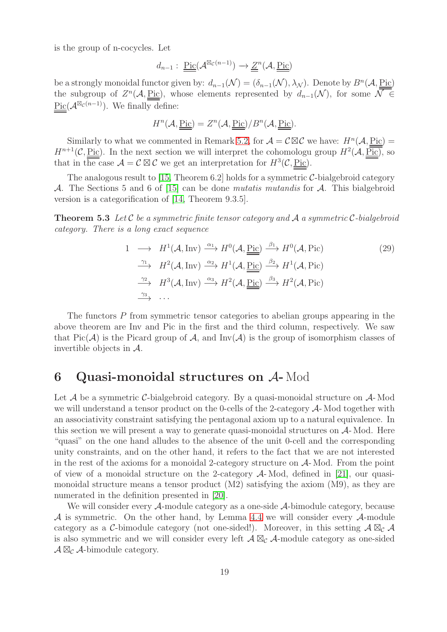is the group of n-cocycles. Let

$$
d_{n-1}:\ \underline{\underline{\mathrm{Pic}}}(\mathcal{A}^{\boxtimes_{\mathcal{C}}(n-1)})\to \underline{\underline{Z}}^n(\mathcal{A},\underline{\underline{\mathrm{Pic}}})
$$

be a strongly monoidal functor given by:  $d_{n-1}(\mathcal{N}) = (\delta_{n-1}(\mathcal{N}), \lambda_{\mathcal{N}})$ . Denote by  $B^n(\mathcal{A}, \underline{\text{Pic}})$ the subgroup of  $Z^{n}(\mathcal{A}, \underline{\text{Pic}})$ , whose elements represented by  $d_{n-1}(\mathcal{N})$ , for some  $\mathcal{N} \in$ Pic( $\mathcal{A}^{\boxtimes_{\mathcal{C}}(n-1)}$ ). We finally define:

$$
H^{n}(\mathcal{A}, \underline{\underline{\mathrm{Pic}}}) = Z^{n}(\mathcal{A}, \underline{\underline{\mathrm{Pic}}})/B^{n}(\mathcal{A}, \underline{\underline{\mathrm{Pic}}}).
$$

Similarly to what we commented in Remark [5.2,](#page-16-3) for  $\mathcal{A} = \mathcal{C} \boxtimes \mathcal{C}$  we have:  $H^n(\mathcal{A}, \underline{\text{Pic}}) =$  $H^{n+1}(\mathcal{C}, \underline{\text{Pic}})$ . In the next section we will interpret the cohomologu group  $H^2(\mathcal{A}, \underline{\text{Pic}})$ , so that in the case  $\mathcal{A} = \mathcal{C} \boxtimes \mathcal{C}$  we get an interpretation for  $H^3(\mathcal{C}, \underline{\text{Pic}})$ .

The analogous result to [\[15,](#page-28-0) Theorem 6.2] holds for a symmetric  $C$ -bialgebroid category A. The Sections 5 and 6 of [\[15\]](#page-28-0) can be done mutatis mutandis for A. This bialgebroid version is a categorification of [\[14,](#page-28-2) Theorem 9.3.5].

**Theorem 5.3** Let C be a symmetric finite tensor category and A a symmetric C-bialgebroid category. There is a long exact sequence

$$
1 \longrightarrow H^{1}(\mathcal{A}, \text{Inv}) \xrightarrow{\alpha_{1}} H^{0}(\mathcal{A}, \underline{\text{Pic}}) \xrightarrow{\beta_{1}} H^{0}(\mathcal{A}, \text{Pic})
$$
\n
$$
\xrightarrow{\gamma_{1}} H^{2}(\mathcal{A}, \text{Inv}) \xrightarrow{\alpha_{2}} H^{1}(\mathcal{A}, \underline{\text{Pic}}) \xrightarrow{\beta_{2}} H^{1}(\mathcal{A}, \text{Pic})
$$
\n
$$
\xrightarrow{\gamma_{2}} H^{3}(\mathcal{A}, \text{Inv}) \xrightarrow{\alpha_{3}} H^{2}(\mathcal{A}, \underline{\text{Pic}}) \xrightarrow{\beta_{3}} H^{2}(\mathcal{A}, \text{Pic})
$$
\n
$$
\xrightarrow{\gamma_{3}} \dots
$$
\n
$$
(29)
$$

The functors  $P$  from symmetric tensor categories to abelian groups appearing in the above theorem are Inv and Pic in the first and the third column, respectively. We saw that Pic( $\mathcal{A}$ ) is the Picard group of  $\mathcal{A}$ , and Inv( $\mathcal{A}$ ) is the group of isomorphism classes of invertible objects in  $A$ .

### 6 Quasi-monoidal structures on A- Mod

Let  $\mathcal A$  be a symmetric C-bialgebroid category. By a quasi-monoidal structure on  $\mathcal A$ -Mod we will understand a tensor product on the 0-cells of the 2-category  $\mathcal{A}$ -Mod together with an associativity constraint satisfying the pentagonal axiom up to a natural equivalence. In this section we will present a way to generate quasi-monoidal structures on A- Mod. Here "quasi" on the one hand alludes to the absence of the unit 0-cell and the corresponding unity constraints, and on the other hand, it refers to the fact that we are not interested in the rest of the axioms for a monoidal 2-category structure on  $A$ - Mod. From the point of view of a monoidal structure on the 2-category  $\mathcal{A}$ -Mod, defined in [\[21\]](#page-28-15), our quasimonoidal structure means a tensor product (M2) satisfying the axiom (M9), as they are numerated in the definition presented in [\[20\]](#page-28-5).

We will consider every A-module category as a one-side A-bimodule category, because  $\mathcal A$  is symmetric. On the other hand, by Lemma [4.4](#page-14-1) we will consider every  $\mathcal A$ -module category as a C-bimodule category (not one-sided!). Moreover, in this setting  $A \boxtimes_{\mathcal{C}} A$ is also symmetric and we will consider every left  $\mathcal{A} \boxtimes_{\mathcal{C}} \mathcal{A}$ -module category as one-sided  $\mathcal{A} \boxtimes_{\mathcal{C}} \mathcal{A}$ -bimodule category.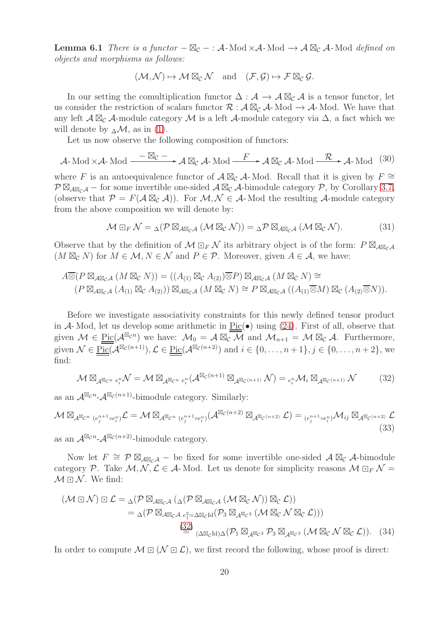**Lemma 6.1** There is a functor  $-\boxtimes_{\mathcal{C}}$  – : A-Mod  $\times$ A-Mod  $\rightarrow$  A  $\boxtimes_{\mathcal{C}}$  A-Mod defined on objects and morphisms as follows:

$$
(\mathcal{M},\mathcal{N})\mapsto \mathcal{M}\boxtimes_{\mathcal{C}}\mathcal{N}\quad \text{and}\quad (\mathcal{F},\mathcal{G})\mapsto \mathcal{F}\boxtimes_{\mathcal{C}}\mathcal{G}.
$$

In our setting the comultiplication functor  $\Delta : \mathcal{A} \to \mathcal{A} \boxtimes_{\mathcal{C}} \mathcal{A}$  is a tensor functor, let us consider the restriction of scalars functor  $\mathcal{R} : \mathcal{A} \boxtimes_{\mathcal{C}} \mathcal{A}$ -Mod  $\rightarrow \mathcal{A}$ -Mod. We have that any left  $\mathcal{A} \boxtimes_{\mathcal{C}} \mathcal{A}$ -module category  $\mathcal{M}$  is a left  $\mathcal{A}$ -module category via  $\Delta$ , a fact which we will denote by  $_{\Delta}$ M, as in [\(1\)](#page-2-0).

Let us now observe the following composition of functors:

<span id="page-19-1"></span>
$$
\mathcal{A}\text{-Mod}\times\mathcal{A}\text{-Mod}\xrightarrow{\phantom{aa}\phantom{aa}\phantom{aa}\phantom{aa}}_{\mathcal{C}}\mathcal{A}\boxtimes_{\mathcal{C}}\mathcal{A}\text{-Mod}\xrightarrow{\phantom{aa}\phantom{aa}}_{\mathcal{F}}\mathcal{A}\boxtimes_{\mathcal{C}}\mathcal{A}\text{-Mod}\xrightarrow{\phantom{aa}\phantom{aa}\mathcal{R}}\mathcal{A}\text{-Mod}\xrightarrow{\phantom{aa}\mathcal{R}}\mathcal{A}\text{-Mod}\xrightarrow{\phantom{aa}\mathcal{R}}\mathcal{A}\text{-Mod}\xrightarrow{\phantom{aa}\mathcal{R}}\mathcal{A}\text{-Mod}\xrightarrow{\phantom{aa}\mathcal{R}}\mathcal{A}\text{-Mod}\xrightarrow{\phantom{aa}\mathcal{R}}\mathcal{A}\text{-Mod}\xrightarrow{\phantom{aa}\mathcal{R}}\mathcal{A}\text{-Mod}\xrightarrow{\phantom{aa}\mathcal{R}}\mathcal{A}\text{-Mod}\xrightarrow{\phantom{aa}\mathcal{R}}\mathcal{A}\text{-Mod}\xrightarrow{\phantom{aa}\mathcal{R}}\mathcal{A}\text{-Mod}\xrightarrow{\phantom{aa}\mathcal{R}}\mathcal{A}\text{-Mod}\xrightarrow{\phantom{aa}\mathcal{R}}\mathcal{A}\text{-Mod}\xrightarrow{\phantom{aa}\mathcal{R}}\mathcal{A}\text{-Mod}\xrightarrow{\phantom{aa}\mathcal{R}}\mathcal{A}\text{-Mod}\xrightarrow{\phantom{aa}\mathcal{R}}\mathcal{A}\text{-Mod}\xrightarrow{\phantom{aa}\mathcal{R}}\mathcal{A}\text{-Mod}\xrightarrow{\phantom{aa}\mathcal{R}}\mathcal{A}\text{-Mod}\xrightarrow{\phantom{aa}\mathcal{R}}\mathcal{A}\text{-Mod}\xrightarrow{\phantom{aa}\mathcal{R}}\mathcal{A}\text{-Mod}\xrightarrow{\phantom{aa}\mathcal{R}}\mathcal{A}\text{-Mod}\xrightarrow{\phantom{aa}\mathcal{R}}\mathcal{A}\text{-Mod}\xrightarrow{\phantom{aa}\mathcal{R}}\mathcal{A}\text{-Mod}\xrightarrow{\phantom{aa}\mathcal{R}}\mathcal{A}\text{-Mod}\xrightarrow{\phantom{aa}\mathcal{R}}\mathcal{A}\text{-Mod}\xrightarrow{\phantom{aa}\mathcal{R}}\mathcal{A}\text{-Mod}\xrightarrow{\phantom{aa}\mathcal{R}}\mathcal{A}\text{-Mod}\xrightarrow{\phantom{aa}\mathcal{R}}\mathcal{A}\text{-Mod}\xrightarrow{\phantom{aa}\mathcal{R}}
$$

where F is an autoequivalence functor of  $\mathcal{A} \boxtimes_{\mathcal{C}} \mathcal{A}$ -Mod. Recall that it is given by  $F \cong$  $\mathcal{P} \boxtimes_{\mathcal{A} \boxtimes_{\mathcal{C}} \mathcal{A}}$  – for some invertible one-sided  $\mathcal{A} \boxtimes_{\mathcal{C}} \mathcal{A}$ -bimodule category  $\mathcal{P}$ , by Corollary [3.7,](#page-12-2) (observe that  $\mathcal{P} = F(\mathcal{A} \boxtimes_{\mathcal{C}} \mathcal{A})$ ). For  $\mathcal{M}, \mathcal{N} \in \mathcal{A}$ -Mod the resulting  $\mathcal{A}$ -module category from the above composition we will denote by:

<span id="page-19-3"></span>
$$
\mathcal{M} \boxdot_F \mathcal{N} = {}_{\Delta}(\mathcal{P} \boxtimes_{\mathcal{A} \boxtimes_{\mathcal{C}} \mathcal{A}} (\mathcal{M} \boxtimes_{\mathcal{C}} \mathcal{N})) = {}_{\Delta} \mathcal{P} \boxtimes_{\mathcal{A} \boxtimes_{\mathcal{C}} \mathcal{A}} (\mathcal{M} \boxtimes_{\mathcal{C}} \mathcal{N}).
$$
 (31)

Observe that by the definition of  $\mathcal{M} \boxdot_F \mathcal{N}$  its arbitrary object is of the form:  $P \boxtimes_{A \boxtimes_{\mathcal{C}} A}$  $(M \boxtimes_{\mathcal{C}} N)$  for  $M \in \mathcal{M}, N \in \mathcal{N}$  and  $P \in \mathcal{P}$ . Moreover, given  $A \in \mathcal{A}$ , we have:

$$
A \overline{\otimes} (P \boxtimes_{A \boxtimes_{\mathcal{C}} A} (M \boxtimes_{\mathcal{C}} N)) = ((A_{(1)} \boxtimes_{\mathcal{C}} A_{(2)}) \overline{\otimes} P) \boxtimes_{A \boxtimes_{\mathcal{C}} A} (M \boxtimes_{\mathcal{C}} N) \cong
$$
  

$$
(P \boxtimes_{A \boxtimes_{\mathcal{C}} A} (A_{(1)} \boxtimes_{\mathcal{C}} A_{(2)})) \boxtimes_{A \boxtimes_{\mathcal{C}} A} (M \boxtimes_{\mathcal{C}} N) \cong P \boxtimes_{A \boxtimes_{\mathcal{C}} A} ((A_{(1)} \overline{\otimes} M) \boxtimes_{\mathcal{C}} (A_{(2)} \overline{\otimes} N)).
$$

Before we investigate associativity constraints for this newly defined tensor product in A- Mod, let us develop some arithmetic in  $Pic(\bullet)$  using [\(24\)](#page-17-0). First of all, observe that given  $\mathcal{M} \in \text{Pic}(\mathcal{A}^{\boxtimes_{\mathcal{C}} n})$  we have:  $\mathcal{M}_0 = \mathcal{A} \boxtimes_{\mathcal{C}} \overline{\mathcal{M}}$  and  $\mathcal{M}_{n+1} = \mathcal{M} \boxtimes_{\mathcal{C}} \mathcal{A}$ . Furthermore, given  $\mathcal{N} \in \text{Pic}(\mathcal{A}^{\boxtimes_{\mathcal{C}}(n+1)}), \mathcal{L} \in \text{Pic}(\mathcal{A}^{\boxtimes_{\mathcal{C}}(n+2)})$  and  $i \in \{0, \ldots, n+1\}, j \in \{0, \ldots, n+2\}, w$ find:

<span id="page-19-0"></span>
$$
\mathcal{M} \boxtimes_{\mathcal{A}^{\boxtimes_{\mathcal{C}^n}}} \mathcal{C}_i} \mathcal{N} = \mathcal{M} \boxtimes_{\mathcal{A}^{\boxtimes_{\mathcal{C}^n}}} \mathcal{A}^{\boxtimes_{\mathcal{C}}(n+1)} \boxtimes_{\mathcal{A}^{\boxtimes_{\mathcal{C}}(n+1)}} \mathcal{N}) = \mathcal{C}_i^{\mathcal{D}} \mathcal{M}_i \boxtimes_{\mathcal{A}^{\boxtimes_{\mathcal{C}}(n+1)}} \mathcal{N} \tag{32}
$$

as an  $\mathcal{A}^{\boxtimes_c n}$ - $\mathcal{A}^{\boxtimes_c (n+1)}$ -bimodule category. Similarly:

<span id="page-19-4"></span>
$$
\mathcal{M} \boxtimes_{\mathcal{A}^{\boxtimes_{\mathcal{C}^n}}}(e_j^{n+1} \circ e_i^n) \mathcal{L} = \mathcal{M} \boxtimes_{\mathcal{A}^{\boxtimes_{\mathcal{C}^n}}}(e_j^{n+1} \circ e_i^n) \left(\mathcal{A}^{\boxtimes_{\mathcal{C}}(n+2)} \boxtimes_{\mathcal{A}^{\boxtimes_{\mathcal{C}}(n+2)}} \mathcal{L}\right) = (e_j^{n+1} \circ e_i^n) \mathcal{M}_{ij} \boxtimes_{\mathcal{A}^{\boxtimes_{\mathcal{C}}(n+2)}} \mathcal{L}
$$
\n(33)

as an  $\mathcal{A}^{\boxtimes_{\mathcal{C}} n}$ - $\mathcal{A}^{\boxtimes_{\mathcal{C}} (n+2)}$ -bimodule category.

Now let  $F \cong \mathcal{P} \boxtimes_{\mathcal{A} \boxtimes_{\mathcal{C}} \mathcal{A}} -$  be fixed for some invertible one-sided  $\mathcal{A} \boxtimes_{\mathcal{C}} \mathcal{A}$ -bimodule category P. Take  $M, N, \mathcal{L} \in \mathcal{A}$ -Mod. Let us denote for simplicity reasons  $M \square_F N =$  $\mathcal{M} \boxdot \mathcal{N}$ . We find:

<span id="page-19-2"></span>
$$
(\mathcal{M} \boxdot \mathcal{N}) \boxdot \mathcal{L} = {}_{\Delta}(\mathcal{P} \boxtimes_{A \boxtimes_{\mathcal{C}} A} ({}_{\Delta}(\mathcal{P} \boxtimes_{A \boxtimes_{\mathcal{C}} A} (\mathcal{M} \boxtimes_{\mathcal{C}} \mathcal{N})) \boxtimes_{\mathcal{C}} \mathcal{L}))
$$
  
= 
$$
{}_{\Delta}(\mathcal{P} \boxtimes_{A \boxtimes_{\mathcal{C}} A} {}_{e_{1}^{2} = \Delta \boxtimes_{\mathcal{C}} Id} (\mathcal{P}_{3} \boxtimes_{A} {}_{\boxtimes_{\mathcal{C}} 3} (\mathcal{M} \boxtimes_{\mathcal{C}} \mathcal{N} \boxtimes_{\mathcal{C}} \mathcal{L})))
$$
  

$$
(\frac{32}{2}) {}_{(\Delta \boxtimes_{\mathcal{C}} Id)\Delta}(\mathcal{P}_{1} \boxtimes_{A} {}_{\boxtimes_{\mathcal{C}} 3} \mathcal{P}_{3} \boxtimes_{A} {}_{\boxtimes_{\mathcal{C}} 3} (\mathcal{M} \boxtimes_{\mathcal{C}} \mathcal{N} \boxtimes_{\mathcal{C}} \mathcal{L})).
$$
 (34)

In order to compute  $M \square (\mathcal{N} \square \mathcal{L})$ , we first record the following, whose proof is direct: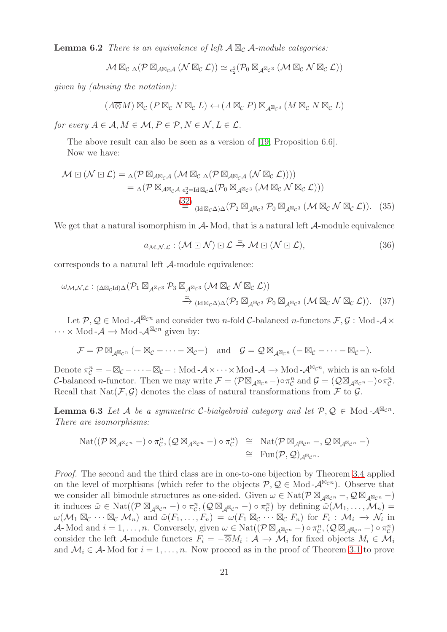**Lemma 6.2** There is an equivalence of left  $A \boxtimes_{\mathcal{C}} A$ -module categories:

$$
\mathcal{M}\boxtimes_{\mathcal{C}}\mathop{\Delta}(\mathcal{P}\boxtimes_{\mathcal{A} \boxtimes_{\mathcal{C}} \mathcal{A}}(\mathcal{N}\boxtimes_{\mathcal{C}} \mathcal{L})) \simeq {}_{e_2^2}(\mathcal{P}_0\boxtimes_{\mathcal{A}^{\boxtimes_{\mathcal{C}} 3}}(\mathcal{M}\boxtimes_{\mathcal{C}} \mathcal{N}\boxtimes_{\mathcal{C}} \mathcal{L}))
$$

given by (abusing the notation):

$$
(A \overline{\otimes} M) \boxtimes_{\mathcal{C}} (P \boxtimes_{\mathcal{C}} N \boxtimes_{\mathcal{C}} L) \leftarrow (A \boxtimes_{\mathcal{C}} P) \boxtimes_{\mathcal{A}^{\boxtimes_{\mathcal{C}} 3}} (M \boxtimes_{\mathcal{C}} N \boxtimes_{\mathcal{C}} L)
$$

for every  $A \in \mathcal{A}, M \in \mathcal{M}, P \in \mathcal{P}, N \in \mathcal{N}, L \in \mathcal{L}$ .

The above result can also be seen as a version of [\[19,](#page-28-13) Proposition 6.6]. Now we have:

$$
\mathcal{M} \boxdot (\mathcal{N} \boxdot \mathcal{L}) = \Delta (\mathcal{P} \boxtimes_{A \boxtimes_{\mathcal{C}} A} (\mathcal{M} \boxtimes_{\mathcal{C}} \Delta (\mathcal{P} \boxtimes_{A \boxtimes_{\mathcal{C}} A} (\mathcal{N} \boxtimes_{\mathcal{C}} \mathcal{L}))))
$$
  
= 
$$
\Delta (\mathcal{P} \boxtimes_{A \boxtimes_{\mathcal{C}} A} \mathcal{L}_{e_2^2 = \text{Id} \boxtimes_{\mathcal{C}} \Delta} (\mathcal{P}_0 \boxtimes_{A \boxtimes_{\mathcal{C}} 3} (\mathcal{M} \boxtimes_{\mathcal{C}} \mathcal{N} \boxtimes_{\mathcal{C}} \mathcal{L})))
$$
  

$$
\stackrel{(32)}{=} (\text{Id} \boxtimes_{\mathcal{C}} \Delta) \Delta (\mathcal{P}_2 \boxtimes_{A \boxtimes_{\mathcal{C}} 3} \mathcal{P}_0 \boxtimes_{A \boxtimes_{\mathcal{C}} 3} (\mathcal{M} \boxtimes_{\mathcal{C}} \mathcal{N} \boxtimes_{\mathcal{C}} \mathcal{L})).
$$
 (35)

We get that a natural isomorphism in  $A$ - Mod, that is a natural left  $A$ -module equivalence

<span id="page-20-2"></span><span id="page-20-1"></span><span id="page-20-0"></span>
$$
a_{\mathcal{M},\mathcal{N},\mathcal{L}} : (\mathcal{M} \boxdot \mathcal{N}) \boxdot \mathcal{L} \xrightarrow{\simeq} \mathcal{M} \boxdot (\mathcal{N} \boxdot \mathcal{L}), \tag{36}
$$

corresponds to a natural left A-module equivalence:

$$
\omega_{\mathcal{M},\mathcal{N},\mathcal{L}} : \text{Cone}(P_1 \boxtimes_{\mathcal{A}^{\boxtimes}c^3} P_3 \boxtimes_{\mathcal{A}^{\boxtimes}c^3} (\mathcal{M} \boxtimes_{\mathcal{C}} \mathcal{N} \boxtimes_{\mathcal{C}} \mathcal{L}))
$$
  

$$
\xrightarrow{\simeq} (\text{Id} \boxtimes_{\mathcal{C}} \Delta) \Delta (P_2 \boxtimes_{\mathcal{A}^{\boxtimes}c^3} P_0 \boxtimes_{\mathcal{A}^{\boxtimes}c^3} (\mathcal{M} \boxtimes_{\mathcal{C}} \mathcal{N} \boxtimes_{\mathcal{C}} \mathcal{L})).
$$
 (37)

Let  $\mathcal{P}, \mathcal{Q} \in \text{Mod } \mathcal{A}^{\boxtimes_c n}$  and consider two *n*-fold C-balanced *n*-functors  $\mathcal{F}, \mathcal{G}$ : Mod- $\mathcal{A} \times$  $\cdots \times \text{Mod-}\mathcal{A} \longrightarrow \text{Mod-}\mathcal{A}^{\boxtimes_{\mathcal{C}} n}$  given by:

$$
\mathcal{F} = \mathcal{P} \boxtimes_{\mathcal{A}^{\boxtimes_{\mathcal{C}}n}} (-\boxtimes_{\mathcal{C}} - \cdots - \boxtimes_{\mathcal{C}} -) \quad \text{and} \quad \mathcal{G} = \mathcal{Q} \boxtimes_{\mathcal{A}^{\boxtimes_{\mathcal{C}}n}} (-\boxtimes_{\mathcal{C}} - \cdots - \boxtimes_{\mathcal{C}} -).
$$

Denote  $\pi_{\mathcal{C}}^n = -\boxtimes_{\mathcal{C}} - \cdots - \boxtimes_{\mathcal{C}} - :$  Mod - $\mathcal{A} \times \cdots \times$  Mod - $\mathcal{A} \to$  Mod - $\mathcal{A}^{\boxtimes_{\mathcal{C}} n}$ , which is an *n*-fold C-balanced n-functor. Then we may write  $\mathcal{F} = (\mathcal{P} \boxtimes_{\mathcal{A}^{\boxtimes} c^n} -) \circ \pi_{\mathcal{C}}^n$  and  $\mathcal{G} = (\mathcal{Q} \boxtimes_{\mathcal{A}^{\boxtimes} c^n} -) \circ \pi_{\mathcal{C}}^n$ . Recall that  $\text{Nat}(\mathcal{F}, \mathcal{G})$  denotes the class of natural transformations from  $\mathcal F$  to  $\mathcal G$ .

<span id="page-20-3"></span>**Lemma 6.3** Let A be a symmetric C-bialgebroid category and let  $P, Q \in Mod-A^{\boxtimes_{\mathcal{C}} n}$ . There are isomorphisms:

$$
\mathrm{Nat}((\mathcal{P} \boxtimes_{\mathcal{A}^{\boxtimes_{\mathcal{C}}n}}-) \circ \pi_{\mathcal{C}}^n, (\mathcal{Q} \boxtimes_{\mathcal{A}^{\boxtimes_{\mathcal{C}}n}}-) \circ \pi_{\mathcal{C}}^n) \cong \mathrm{Nat}(\mathcal{P} \boxtimes_{\mathcal{A}^{\boxtimes_{\mathcal{C}}n}}-, \mathcal{Q} \boxtimes_{\mathcal{A}^{\boxtimes_{\mathcal{C}}n}}-)
$$
  

$$
\cong \mathrm{Fun}(\mathcal{P}, \mathcal{Q})_{\mathcal{A}^{\boxtimes_{\mathcal{C}}n}}.
$$

Proof. The second and the third class are in one-to-one bijection by Theorem [3.4](#page-10-0) applied on the level of morphisms (which refer to the objects  $P, Q \in Mod-A^{\boxtimes_c n}$ ). Observe that we consider all bimodule structures as one-sided. Given  $\omega \in \text{Nat}(\mathcal{P} \boxtimes_{A^{\boxtimes}C^n} -, \mathcal{Q} \boxtimes_{A^{\boxtimes}C^n} -)$ it induces  $\tilde{\omega} \in \text{Nat}((\mathcal{P} \boxtimes_{\mathcal{A}^{\boxtimes_{\mathcal{C}}n}}-) \circ \pi_{\mathcal{C}}^n, (\mathcal{Q} \boxtimes_{\mathcal{A}^{\boxtimes_{\mathcal{C}}n}}-) \circ \pi_{\mathcal{C}}^n)$  by defining  $\tilde{\omega}(\mathcal{M}_1, \ldots, \mathcal{M}_n) =$  $\omega(\mathcal{M}_1 \boxtimes_{\mathcal{C}} \cdots \boxtimes_{\mathcal{C}} \mathcal{M}_n)$  and  $\widetilde{\omega}(F_1, \ldots, F_n) = \omega(F_1 \boxtimes_{\mathcal{C}} \cdots \boxtimes_{\mathcal{C}} F_n)$  for  $F_i : \mathcal{M}_i \to \mathcal{N}_i$  in A-Mod and  $i = 1, ..., n$ . Conversely, given  $\omega \in \text{Nat}((\mathcal{P} \boxtimes_{\mathcal{A}} \boxtimes_{\mathcal{C}} P - \sigma \sigma_{\mathcal{C}}^n, (\mathcal{Q} \boxtimes_{\mathcal{A}} \boxtimes_{\mathcal{C}} P - \sigma \sigma_{\mathcal{C}}^n))$ consider the left A-module functors  $F_i = -\overline{\otimes}M_i : \mathcal{A} \to \mathcal{M}_i$  for fixed objects  $M_i \in \mathcal{M}_i$ and  $\mathcal{M}_i \in \mathcal{A}$ - Mod for  $i = 1, \ldots, n$ . Now proceed as in the proof of Theorem [3.1](#page-6-0) to prove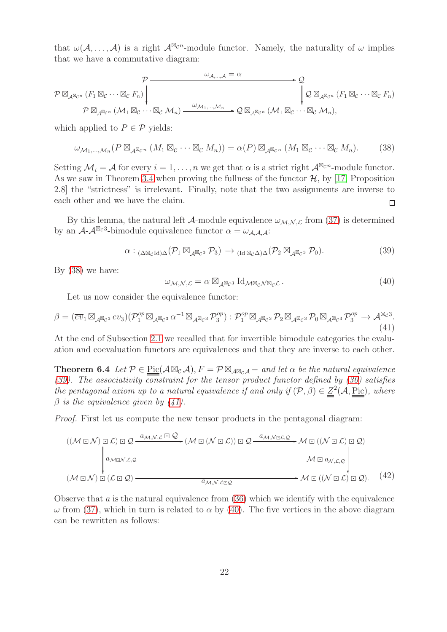that  $\omega(\mathcal{A}, \ldots, \mathcal{A})$  is a right  $\mathcal{A}^{\boxtimes_{\mathcal{C}} n}$ -module functor. Namely, the naturality of  $\omega$  implies that we have a commutative diagram:

$$
\mathcal{P} \boxtimes_{\mathcal{A}^{\boxtimes_{\mathcal{C}^n}}}(F_1 \boxtimes_{\mathcal{C}} \cdots \boxtimes_{\mathcal{C}} F_n)\n\begin{bmatrix}\n\mathcal{P} \longrightarrow \mathcal{Q} & \mathcal{Q} \\
\downarrow \mathcal{Q} \boxtimes_{\mathcal{A}^{\boxtimes_{\mathcal{C}^n}}}(F_1 \boxtimes_{\mathcal{C}} \cdots \boxtimes_{\mathcal{C}} F_n) & \downarrow \mathcal{Q} \\
\downarrow \mathcal{Q} \boxtimes_{\mathcal{A}^{\boxtimes_{\mathcal{C}^n}}}(F_1 \boxtimes_{\mathcal{C}} \cdots \boxtimes_{\mathcal{C}} F_n)\n\end{bmatrix}
$$

which applied to  $P \in \mathcal{P}$  yields:

<span id="page-21-1"></span>
$$
\omega_{\mathcal{M}_1,\dots,\mathcal{M}_n}(P\boxtimes_{\mathcal{A}}\boxtimes_{\mathcal{C}}(M_1\boxtimes_{\mathcal{C}}\cdots\boxtimes_{\mathcal{C}}M_n))=\alpha(P)\boxtimes_{\mathcal{A}}\boxtimes_{\mathcal{C}}(M_1\boxtimes_{\mathcal{C}}\cdots\boxtimes_{\mathcal{C}}M_n).
$$
 (38)

Setting  $\mathcal{M}_i = \mathcal{A}$  for every  $i = 1, \ldots, n$  we get that  $\alpha$  is a strict right  $\mathcal{A}^{\boxtimes_{\mathcal{C}} n}$ -module functor. As we saw in Theorem [3.4](#page-10-0) when proving the fullness of the functor  $H$ , by [\[17,](#page-28-12) Proposition 2.8] the "strictness" is irrelevant. Finally, note that the two assignments are inverse to each other and we have the claim.  $\Box$ 

By this lemma, the natural left  $\mathcal{A}$ -module equivalence  $\omega_{\mathcal{M},\mathcal{N},\mathcal{L}}$  from [\(37\)](#page-20-0) is determined by an  $\mathcal{A}\text{-}\mathcal{A}^{\boxtimes_c 3}$ -bimodule equivalence functor  $\alpha = \omega_{\mathcal{A},\mathcal{A},\mathcal{A}}$ :

<span id="page-21-2"></span>
$$
\alpha :_{(\Delta \boxtimes_{\mathcal{C}} \mathrm{Id})\Delta}(\mathcal{P}_1 \boxtimes_{\mathcal{A}^{\boxtimes_{\mathcal{C}}3}} \mathcal{P}_3) \longrightarrow_{(\mathrm{Id} \boxtimes_{\mathcal{C}} \Delta)\Delta}(\mathcal{P}_2 \boxtimes_{\mathcal{A}^{\boxtimes_{\mathcal{C}}3}} \mathcal{P}_0). \tag{39}
$$

By [\(38\)](#page-21-1) we have:

<span id="page-21-4"></span>
$$
\omega_{\mathcal{M},\mathcal{N},\mathcal{L}} = \alpha \boxtimes_{\mathcal{A}^{\boxtimes}c^3} \mathrm{Id}_{\mathcal{M}^{\boxtimes}c\mathcal{N}^{\boxtimes}c\mathcal{L}}.
$$
\n(40)

Let us now consider the equivalence functor:

<span id="page-21-3"></span>
$$
\beta = (\overline{ev}_1 \boxtimes_{\mathcal{A}^{\boxtimes}c^3} ev_3)(\mathcal{P}_1^{op} \boxtimes_{\mathcal{A}^{\boxtimes}c^3} \alpha^{-1} \boxtimes_{\mathcal{A}^{\boxtimes}c^3} \mathcal{P}_3^{op}) : \mathcal{P}_1^{op} \boxtimes_{\mathcal{A}^{\boxtimes}c^3} \mathcal{P}_2 \boxtimes_{\mathcal{A}^{\boxtimes}c^3} \mathcal{P}_0 \boxtimes_{\mathcal{A}^{\boxtimes}c^3} \mathcal{P}_3^{op} \to \mathcal{A}^{\boxtimes c^3}.
$$
\n(41)

<span id="page-21-0"></span>At the end of Subsection [2.1](#page-4-3) we recalled that for invertible bimodule categories the evaluation and coevaluation functors are equivalences and that they are inverse to each other.

**Theorem 6.4** Let  $\mathcal{P} \in \text{Pic}(\mathcal{A} \boxtimes_{\mathcal{C}} \mathcal{A}), F = \mathcal{P} \boxtimes_{\mathcal{A} \boxtimes_{\mathcal{C}} \mathcal{A}} -$  and let  $\alpha$  be the natural equivalence [\(39\)](#page-21-2). The associativity constraint for the tensor product functor defined by [\(30\)](#page-19-1) satisfies the pentagonal axiom up to a natural equivalence if and only if  $(\mathcal{P}, \beta) \in \mathcal{Z}^2(\mathcal{A}, \underline{\text{Pic}})$ , where  $\beta$  is the equivalence given by [\(41\)](#page-21-3).

Proof. First let us compute the new tensor products in the pentagonal diagram:

$$
((\mathcal{M} \boxdot \mathcal{N}) \boxdot \mathcal{L}) \boxdot \mathcal{Q} \xrightarrow{a_{\mathcal{M}, \mathcal{N}, \mathcal{L}} \boxdot \mathcal{Q}} (\mathcal{M} \boxdot (\mathcal{N} \boxdot \mathcal{L})) \boxdot \mathcal{Q} \xrightarrow{a_{\mathcal{M}, \mathcal{N} \boxdot \mathcal{L}, \mathcal{Q}} \mathcal{M} \boxdot ((\mathcal{N} \boxdot \mathcal{L}) \boxdot \mathcal{Q})
$$
\n
$$
\downarrow a_{\mathcal{M} \boxdot \mathcal{N}, \mathcal{L}, \mathcal{Q}} \mathcal{M} \boxdot a_{\mathcal{N}, \mathcal{L}, \mathcal{Q}} \qquad \mathcal{M} \boxdot a_{\mathcal{N}, \mathcal{L}, \mathcal{Q}} \downarrow \mathcal{M} \boxdot (\mathcal{N} \boxdot \mathcal{L}) \boxdot \mathcal{Q}).
$$
\n
$$
(\mathcal{M} \boxdot \mathcal{N}) \boxdot (\mathcal{L} \boxdot \mathcal{Q}) \xrightarrow{a_{\mathcal{M}, \mathcal{N}, \mathcal{L} \boxdot \mathcal{Q}} \mathcal{Q} \mathcal{M} \boxdot (\mathcal{N} \boxdot \mathcal{L}) \boxdot \mathcal{Q}).
$$
\n
$$
(A2)
$$

<span id="page-21-5"></span>Observe that  $\alpha$  is the natural equivalence from  $(36)$  which we identify with the equivalence  $ω$  from [\(37\)](#page-20-0), which in turn is related to  $α$  by [\(40\)](#page-21-4). The five vertices in the above diagram can be rewritten as follows: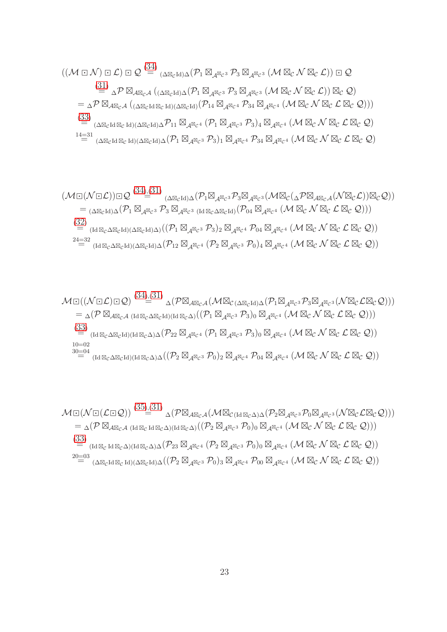$$
((\mathcal{M} \boxdot \mathcal{N}) \boxdot \mathcal{L}) \boxdot \mathcal{Q} \stackrel{(34)}{=} (\Delta \boxtimes_{c\mathrm{Id}})_{\Delta} (P_1 \boxtimes_{\mathcal{A}} \boxtimes_{c^3} P_3 \boxtimes_{\mathcal{A}} \boxtimes_{c^3} (\mathcal{M} \boxtimes_{c} \mathcal{N} \boxtimes_{c} \mathcal{L})) \boxdot \mathcal{Q}
$$
  
\n
$$
\stackrel{(31)}{=} \Delta P \boxtimes_{\mathcal{A} \boxtimes_{c} \mathcal{A}} ( (\Delta \boxtimes_{c\mathrm{Id}})_{\Delta} (P_1 \boxtimes_{\mathcal{A}} \boxtimes_{c^3} P_3 \boxtimes_{\mathcal{A}} \boxtimes_{c^3} (\mathcal{M} \boxtimes_{c} \mathcal{N} \boxtimes_{c} \mathcal{L})) \boxtimes_{c} \mathcal{Q})
$$
  
\n
$$
= \Delta P \boxtimes_{\mathcal{A} \boxtimes_{c} \mathcal{A}} ( (\Delta \boxtimes_{c\mathrm{Id}} \boxtimes_{c\mathrm{Id}})_{(\Delta \boxtimes_{c\mathrm{Id}})} (P_1 \boxtimes_{\mathcal{A}} \boxtimes_{c^4} P_{34} \boxtimes_{\mathcal{A}} \boxtimes_{c^4} (\mathcal{M} \boxtimes_{c} \mathcal{N} \boxtimes_{c} \mathcal{L} \boxtimes_{c} \mathcal{Q})))
$$
  
\n
$$
\stackrel{(33)}{=} (\Delta \boxtimes_{c\mathrm{Id}} \boxtimes_{c\mathrm{Id}})_{(\Delta \boxtimes_{c\mathrm{Id}})} \Delta P_{11} \boxtimes_{\mathcal{A} \boxtimes_{c^4}} (P_1 \boxtimes_{\mathcal{A}} \boxtimes_{c^3} P_{3})_{4} \boxtimes_{\mathcal{A} \boxtimes_{c^4}} (\mathcal{M} \boxtimes_{c} \mathcal{N} \boxtimes_{c} \mathcal{L} \boxtimes_{c} \mathcal{Q})
$$
  
\n
$$
^{14=31}_{14=31}_{14=31} \boxtimes_{(\Delta \boxtimes_{c\mathrm{Id}})_{(\Delta \boxtimes_{c\mathrm{Id}})} (\Delta \boxtimes_{c\mathrm{Id}})_{(\Delta} (P_1 \boxtimes_{\mathcal{A}} \boxtimes_{c^3} P_{3})_{1} \boxtimes_{\mathcal{A} \boxtimes_{c^4}} P_{34} \boxtimes_{
$$

$$
(\mathcal{M}\boxdot(\mathcal{N}\boxdot\mathcal{L}))\boxdot\mathcal{Q} \stackrel{(34),(31)}{=} (\Delta\boxtimes_{c^{Id}}\Delta(\mathcal{P}_{1}\boxtimes_{\mathcal{A}^{\boxtimes}c^{3}}\mathcal{P}_{3}\boxtimes_{\mathcal{A}^{\boxtimes}c^{3}}(\mathcal{M}\boxtimes_{\mathcal{C}}(\Delta\mathcal{P}\boxtimes_{\mathcal{A}\boxtimes_{c}\mathcal{A}}(\mathcal{N}\boxtimes_{c}\mathcal{L}))\boxtimes_{\mathcal{C}}\mathcal{Q}))
$$
  
\n
$$
= (\Delta\boxtimes_{c^{Id}}\Delta(\mathcal{P}_{1}\boxtimes_{\mathcal{A}^{\boxtimes}c^{3}}\mathcal{P}_{3}\boxtimes_{\mathcal{A}^{\boxtimes}c^{3}}(\mathrm{Id}\boxtimes_{c}\Delta\boxtimes_{c^{Id}})(\mathcal{P}_{04}\boxtimes_{\mathcal{A}^{\boxtimes}c^{4}}(\mathcal{M}\boxtimes_{c}\mathcal{N}\boxtimes_{c}\mathcal{L}\boxtimes_{c}\mathcal{Q})))
$$
  
\n(32)  
\n
$$
= (\mathrm{Id}\boxtimes_{c}\Delta\boxtimes_{c^{Id}})(\Delta\boxtimes_{c^{Id}})\Delta)((\mathcal{P}_{1}\boxtimes_{\mathcal{A}^{\boxtimes}c^{3}}\mathcal{P}_{3})_{2}\boxtimes_{\mathcal{A}^{\boxtimes}c^{4}}\mathcal{P}_{04}\boxtimes_{\mathcal{A}^{\boxtimes}c^{4}}(\mathcal{M}\boxtimes_{c}\mathcal{N}\boxtimes_{c}\mathcal{L}\boxtimes_{c}\mathcal{Q}))
$$
  
\n(32)  
\n
$$
= (\mathrm{Id}\boxtimes_{c}\Delta\boxtimes_{c^{Id}})(\Delta\boxtimes_{c^{Id}})\Delta(\mathcal{P}_{12}\boxtimes_{\mathcal{A}^{\boxtimes}c^{4}}(\mathcal{P}_{2}\boxtimes_{\mathcal{A}^{\boxtimes}c^{3}}\mathcal{P}_{0})_{4}\boxtimes_{\mathcal{A}^{\boxtimes}c^{4}}(\mathcal{M}\boxtimes_{c}\mathcal{N}\boxtimes_{c}\mathcal{L}\boxtimes_{c}\mathcal{Q}))
$$

$$
\mathcal{M}\boxdot((\mathcal{N}\boxdot\mathcal{L})\boxdot\mathcal{Q})\stackrel{(34),(31)}{=}\Delta(\mathcal{P}\boxtimes_{\mathcal{A}\boxtimes_{\mathcal{C}}\mathcal{A}}(\mathcal{M}\boxtimes_{\mathcal{C}(\Delta\boxtimes_{\mathcal{C}}Id)\Delta}(\mathcal{P}_{1}\boxtimes_{\mathcal{A}^{\boxtimes_{\mathcal{C}}3}}\mathcal{P}_{3}\boxtimes_{\mathcal{A}^{\boxtimes_{\mathcal{C}}3}}(\mathcal{N}\boxtimes_{\mathcal{C}}\mathcal{L}\boxtimes_{\mathcal{C}}\mathcal{Q})))
$$
  
\n
$$
=\Delta(\mathcal{P}\boxtimes_{\mathcal{A}\boxtimes_{\mathcal{C}}\mathcal{A}}(\mathrm{Id}_{\boxtimes_{\mathcal{C}}\Delta\boxtimes_{\mathcal{C}}Id})(\mathrm{Id}_{\boxtimes_{\mathcal{C}}\Delta})((\mathcal{P}_{1}\boxtimes_{\mathcal{A}^{\boxtimes_{\mathcal{C}3}}}\mathcal{P}_{3})_{0}\boxtimes_{\mathcal{A}^{\boxtimes_{\mathcal{C}}4}}(\mathcal{M}\boxtimes_{\mathcal{C}}\mathcal{N}\boxtimes_{\mathcal{C}}\mathcal{L}\boxtimes_{\mathcal{C}}\mathcal{Q})))
$$
  
\n(33)  
\n
$$
=\underset{[Id\boxtimes_{\mathcal{C}}\Delta\boxtimes_{\mathcal{C}}Id)(\mathrm{Id}\boxtimes_{\mathcal{C}}\Delta)\Delta}{(\mathcal{P}_{22}\boxtimes_{\mathcal{A}}\boxtimes_{\mathcal{C}4}}(\mathcal{P}_{1}\boxtimes_{\mathcal{A}^{\boxtimes_{\mathcal{C}}3}}\mathcal{P}_{3})_{0}\boxtimes_{\mathcal{A}^{\boxtimes_{\mathcal{C}}4}}(\mathcal{M}\boxtimes_{\mathcal{C}}\mathcal{N}\boxtimes_{\mathcal{C}}\mathcal{L}\boxtimes_{\mathcal{C}}\mathcal{Q}))
$$
  
\n
$$
=\underset{[Id\boxtimes_{\mathcal{C}}\Delta\boxtimes_{\mathcal{C}}Id)(\mathrm{Id}\boxtimes_{\mathcal{C}}\Delta)\Delta}{(\mathcal{A}\boxtimes_{\mathcal{C}}\Delta)\Delta((\mathcal{P}_{2}\boxtimes_{\mathcal{A}}\boxtimes_{\mathcal{C}}3}\mathcal{P}_{0})_{2}\boxtimes_{\mathcal{A}^{\boxtimes_{\mathcal{
$$

$$
\mathcal{M}\boxdot(\mathcal{N}\boxdot(\mathcal{L}\boxdot\mathcal{Q})) \stackrel{(35),(31)}{=} \Delta(\mathcal{P}\boxtimes_{\mathcal{A}\boxtimes_{\mathcal{C}}\mathcal{A}}(\mathcal{M}\boxtimes_{\mathcal{C}(Id\boxtimes_{\mathcal{C}}\Delta)\Delta}(\mathcal{P}_{2}\boxtimes_{\mathcal{A}}\boxtimes_{\mathcal{C}3}\mathcal{P}_{0}\boxtimes_{\mathcal{A}}\boxtimes_{\mathcal{C}3}(\mathcal{N}\boxtimes_{\mathcal{C}}\mathcal{L}\boxtimes_{\mathcal{C}}\mathcal{Q})))
$$
  
\n
$$
= \Delta(\mathcal{P}\boxtimes_{\mathcal{A}\boxtimes_{\mathcal{C}}\mathcal{A}}(\mathrm{Id}\boxtimes_{\mathcal{C}}\mathrm{Id}\boxtimes_{\mathcal{C}}\Delta)(\mathrm{Id}\boxtimes_{\mathcal{C}}\Delta)((\mathcal{P}_{2}\boxtimes_{\mathcal{A}}\boxtimes_{\mathcal{C}3}\mathcal{P}_{0})_{0}\boxtimes_{\mathcal{A}}\boxtimes_{\mathcal{C}4}(\mathcal{M}\boxtimes_{\mathcal{C}}\mathcal{N}\boxtimes_{\mathcal{C}}\mathcal{L}\boxtimes_{\mathcal{C}}\mathcal{Q})))
$$
  
\n(33)  
\n
$$
= (\mathrm{Id}\boxtimes_{\mathcal{C}}\mathrm{Id}\boxtimes_{\mathcal{C}}\Delta)(\mathrm{Id}\boxtimes_{\mathcal{C}}\Delta)\Delta(\mathcal{P}_{23}\boxtimes_{\mathcal{A}}\boxtimes_{\mathcal{C}4}(\mathcal{P}_{2}\boxtimes_{\mathcal{A}}\boxtimes_{\mathcal{C}3}\mathcal{P}_{0})_{0}\boxtimes_{\mathcal{A}}\boxtimes_{\mathcal{C}4}(\mathcal{M}\boxtimes_{\mathcal{C}}\mathcal{N}\boxtimes_{\mathcal{C}}\mathcal{L}\boxtimes_{\mathcal{C}}\mathcal{Q}))
$$
  
\n
$$
20=03
$$
  
\n
$$
\Delta\boxtimes_{\mathcal{C}}\mathrm{Id}\boxtimes_{\mathcal{C}}\mathrm{Id})(\Delta\boxtimes_{\mathcal{C}}\mathrm{Id})\Delta((\mathcal{P}_{2}\boxtimes_{\mathcal{A}}\boxtimes_{\mathcal{C}3}\mathcal{P}_{0})_{3}\boxtimes_{\mathcal{A}}\boxtimes_{\mathcal{C}4}\mathcal{P}_{00
$$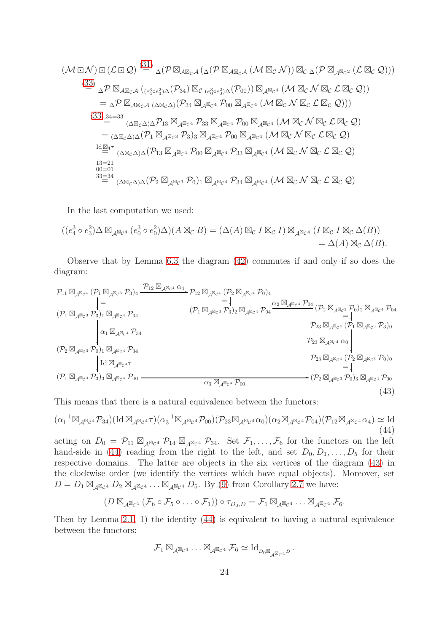$$
(\mathcal{M} \boxdot \mathcal{N}) \boxdot (\mathcal{L} \boxdot \mathcal{Q}) \stackrel{(31)}{=} \Delta(\mathcal{P} \boxtimes_{\mathcal{A} \boxtimes_{\mathcal{C}} A} (\Delta(\mathcal{P} \boxtimes_{\mathcal{A} \boxtimes_{\mathcal{C}} A} (\mathcal{M} \boxtimes_{\mathcal{C}} \mathcal{N})) \boxtimes_{\mathcal{C}} \Delta(\mathcal{P} \boxtimes_{\mathcal{A} \boxtimes_{\mathcal{C}} 2} (\mathcal{L} \boxtimes_{\mathcal{C}} \mathcal{Q})))
$$
\n
$$
\stackrel{(33)}{=} \Delta \mathcal{P} \boxtimes_{\mathcal{A} \boxtimes_{\mathcal{C}} \mathcal{A}} (e_{q}^{3} \circ e_{3}^{2}) \Delta(\mathcal{P}_{34}) \boxtimes_{\mathcal{C}} (e_{q}^{3} \circ e_{q}^{2}) \Delta(\mathcal{P}_{00}) \boxtimes_{\mathcal{A} \boxtimes_{\mathcal{C}} 4} (\mathcal{M} \boxtimes_{\mathcal{C}} \mathcal{N} \boxtimes_{\mathcal{C}} \mathcal{L} \boxtimes_{\mathcal{C}} \mathcal{Q}))
$$
\n
$$
= \Delta \mathcal{P} \boxtimes_{\mathcal{A} \boxtimes_{\mathcal{C}} \mathcal{A}} (\Delta \boxtimes_{\mathcal{C}} \Delta)(\mathcal{P}_{34} \boxtimes_{\mathcal{A} \boxtimes_{\mathcal{C}} 4} \mathcal{P}_{00} \boxtimes_{\mathcal{A} \boxtimes_{\mathcal{C}} 4} (\mathcal{M} \boxtimes_{\mathcal{C}} \mathcal{N} \boxtimes_{\mathcal{C}} \mathcal{L} \boxtimes_{\mathcal{C}} \mathcal{Q})))
$$
\n
$$
\stackrel{(33)}{=} (\Delta \boxtimes_{\mathcal{C}} \Delta) \Delta \mathcal{P}_{13} \boxtimes_{\mathcal{A} \boxtimes_{\mathcal{C}} 4} \mathcal{P}_{33} \boxtimes_{\mathcal{A} \boxtimes_{\mathcal{C}} 4} \mathcal{P}_{00} \boxtimes_{\mathcal{A} \boxtimes_{\mathcal{C}} 4} (\mathcal{M} \boxtimes_{\mathcal{C}} \mathcal{N} \boxtimes_{\mathcal{C}} \mathcal{L} \boxtimes_{\mathcal{C}} \mathcal{Q})
$$
\n
$$
= (\
$$

In the last computation we used:

$$
((e_4^3 \circ e_3^2) \Delta \boxtimes_{\mathcal{A}^{\boxtimes_{\mathcal{C}} 4}} (e_0^3 \circ e_0^2) \Delta)(A \boxtimes_{\mathcal{C}} B) = (\Delta(A) \boxtimes_{\mathcal{C}} I \boxtimes_{\mathcal{C}} I) \boxtimes_{\mathcal{A}^{\boxtimes_{\mathcal{C}} 4}} (I \boxtimes_{\mathcal{C}} I \boxtimes_{\mathcal{C}} \Delta(B))
$$
  
=  $\Delta(A) \boxtimes_{\mathcal{C}} \Delta(B)$ .

Observe that by Lemma [6.3](#page-20-3) the diagram [\(42\)](#page-21-5) commutes if and only if so does the diagram:

<span id="page-23-1"></span>
$$
p_{11} \boxtimes_{\mathcal{A}^{\boxtimes_{\mathcal{C}^4}}} (\mathcal{P}_1 \boxtimes_{\mathcal{A}^{\boxtimes_{\mathcal{C}^3}}} \mathcal{P}_3)_4 \xrightarrow{\mathcal{P}_{12} \boxtimes_{\mathcal{A}^{\boxtimes_{\mathcal{C}^4}}} \mathcal{P}_{12} \boxtimes_{\mathcal{A}^{\boxtimes_{\mathcal{C}^4}}} (\mathcal{P}_2 \boxtimes_{\mathcal{A}^{\boxtimes_{\mathcal{C}^4}}} \mathcal{P}_0)_4
$$
\n
$$
= \downarrow
$$
\n
$$
(\mathcal{P}_1 \boxtimes_{\mathcal{A}^{\boxtimes_{\mathcal{C}^3}}} \mathcal{P}_3)_1 \boxtimes_{\mathcal{A}^{\boxtimes_{\mathcal{C}^4}}} \mathcal{P}_3_4
$$
\n
$$
(\mathcal{P}_1 \boxtimes_{\mathcal{A}^{\boxtimes_{\mathcal{C}^3}}} \mathcal{P}_3)_2 \boxtimes_{\mathcal{A}^{\boxtimes_{\mathcal{C}^4}}} \mathcal{P}_0_4
$$
\n
$$
= \downarrow
$$
\n
$$
p_{23} \boxtimes_{\mathcal{A}^{\boxtimes_{\mathcal{C}^4}}} (\mathcal{P}_1 \boxtimes_{\mathcal{A}^{\boxtimes_{\mathcal{C}^3}}} \mathcal{P}_3)_0
$$
\n
$$
p_{23} \boxtimes_{\mathcal{A}^{\boxtimes_{\mathcal{C}^4}}} (\mathcal{P}_1 \boxtimes_{\mathcal{A}^{\boxtimes_{\mathcal{C}^3}}} \mathcal{P}_3)_0
$$
\n
$$
p_{23} \boxtimes_{\mathcal{A}^{\boxtimes_{\mathcal{C}^4}}} (\mathcal{P}_2 \boxtimes_{\mathcal{A}^{\boxtimes_{\mathcal{C}^4}}} \mathcal{P}_0)_1
$$
\n
$$
= \downarrow
$$
\n
$$
(\mathcal{P}_1 \boxtimes_{\mathcal{A}^{\boxtimes_{\mathcal{C}^3}}} \mathcal{P}_0)_1 \boxtimes_{\mathcal{A}^{\boxtimes_{\mathcal{C}^4}}} \mathcal{P}_3_4
$$
\n
$$
= \downarrow
$$
\n
$$
(\mathcal{P}_1 \boxtimes_{\mathcal{A}^{\boxtimes_{\mathcal{C}^
$$

This means that there is a natural equivalence between the functors:

<span id="page-23-0"></span>
$$
(\alpha_1^{-1}\boxtimes_{\mathcal{A}^{\boxtimes_{\mathcal{C}}}} \mathcal{P}_{34})(\text{Id}\boxtimes_{\mathcal{A}^{\boxtimes_{\mathcal{C}}}} \mathcal{P})(\alpha_3^{-1}\boxtimes_{\mathcal{A}^{\boxtimes_{\mathcal{C}}}} \mathcal{P}_{00})(\mathcal{P}_{23}\boxtimes_{\mathcal{A}^{\boxtimes_{\mathcal{C}}}} \alpha_0)(\alpha_2 \boxtimes_{\mathcal{A}^{\boxtimes_{\mathcal{C}}}} \mathcal{P}_{04})(\mathcal{P}_{12}\boxtimes_{\mathcal{A}^{\boxtimes_{\mathcal{C}}}} \alpha_4) \simeq \text{Id}
$$
\n(44)

acting on  $D_0 = \mathcal{P}_{11} \boxtimes_{\mathcal{A}} \mathbb{Z}_{c^4} \mathcal{P}_{14} \boxtimes_{\mathcal{A}} \mathbb{Z}_{c^4} \mathcal{P}_{34}$ . Set  $\mathcal{F}_1, \ldots, \mathcal{F}_6$  for the functors on the left hand-side in [\(44\)](#page-23-0) reading from the right to the left, and set  $D_0, D_1, \ldots, D_5$  for their respective domains. The latter are objects in the six vertices of the diagram [\(43\)](#page-23-1) in the clockwise order (we identify the vertices which have equal objects). Moreover, set  $D = D_1 \boxtimes_{\mathcal{A}} {\mathbb{Z}}_{c^4} D_2 \boxtimes_{\mathcal{A}} {\mathbb{Z}}_{c^4} \ldots \boxtimes_{\mathcal{A}} {\mathbb{Z}}_{c^4} D_5$ . By [\(9\)](#page-5-3) from Corollary [2.7](#page-5-4) we have:

$$
(D\boxtimes_{\mathcal{A}^{\boxtimes_{\mathcal{C}}4}}(\mathcal{F}_6\circ\mathcal{F}_5\circ\ldots\circ\mathcal{F}_1))\circ\tau_{D_0,D}=\mathcal{F}_1\boxtimes_{\mathcal{A}^{\boxtimes_{\mathcal{C}}4}}\ldots\boxtimes_{\mathcal{A}^{\boxtimes_{\mathcal{C}}4}}\mathcal{F}_6.
$$

Then by Lemma [2.1,](#page-3-2) 1) the identity [\(44\)](#page-23-0) is equivalent to having a natural equivalence between the functors:

$$
\mathcal{F}_1 \boxtimes_{\mathcal{A}^{\boxtimes_{\mathcal{C}} 4}} \ldots \boxtimes_{\mathcal{A}^{\boxtimes_{\mathcal{C}} 4}} \mathcal{F}_6 \simeq \mathrm{Id}_{\mathit{D}_0 \boxtimes_{\mathcal{A}^{\boxtimes_{\mathcal{C}} 4}} \mathit{D}}.
$$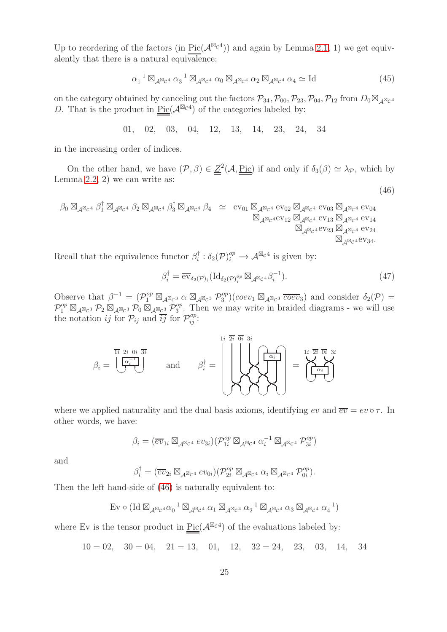Up to reordering of the factors (in  $Pic(\mathcal{A}^{\boxtimes_{\mathcal{C}} 4})$ ) and again by Lemma [2.1,](#page-3-2) 1) we get equivalently that there is a natural equivalence:

<span id="page-24-1"></span>
$$
\alpha_1^{-1} \boxtimes_{\mathcal{A}^{\boxtimes} c^4} \alpha_3^{-1} \boxtimes_{\mathcal{A}^{\boxtimes} c^4} \alpha_0 \boxtimes_{\mathcal{A}^{\boxtimes} c^4} \alpha_2 \boxtimes_{\mathcal{A}^{\boxtimes} c^4} \alpha_4 \simeq \text{Id}
$$
\n(45)

on the category obtained by canceling out the factors  $\mathcal{P}_{34}$ ,  $\mathcal{P}_{00}$ ,  $\mathcal{P}_{23}$ ,  $\mathcal{P}_{04}$ ,  $\mathcal{P}_{12}$  from  $D_0 \boxtimes_{\mathcal{A}} \boxtimes_{\mathcal{C}} 4$ D. That is the product in  $Pic(\mathcal{A}^{\boxtimes_{\mathcal{C}} 4})$  of the categories labeled by:

01, 02, 03, 04, 12, 13, 14, 23, 24, 34

in the increasing order of indices.

On the other hand, we have  $(\mathcal{P}, \beta) \in \underline{Z}^2(\mathcal{A}, \underline{\text{Pic}})$  if and only if  $\delta_3(\beta) \simeq \lambda_{\mathcal{P}}$ , which by Lemma [2.2,](#page-3-3) 2) we can write as:

$$
\begin{array}{ccccc}\n\beta_0 \boxtimes_{\mathcal{A}^{\boxtimes_{\mathcal{C}}}} & \beta_1^{\dagger} \boxtimes_{\mathcal{A}^{\boxtimes_{\mathcal{C}}}} & \beta_2 \boxtimes_{\mathcal{A}^{\boxtimes_{\mathcal{C}}}} & \beta_3^{\dagger} \boxtimes_{\mathcal{A}^{\boxtimes_{\mathcal{C}}}} & \beta_4 & \simeq & \mathrm{ev}_{01} \boxtimes_{\mathcal{A}^{\boxtimes_{\mathcal{C}}}} & \mathrm{ev}_{02} \boxtimes_{\mathcal{A}^{\boxtimes_{\mathcal{C}}}} & \mathrm{ev}_{03} \boxtimes_{\mathcal{A}^{\boxtimes_{\mathcal{C}}}} & \mathrm{ev}_{04} \\
& \boxtimes_{\mathcal{A}^{\boxtimes_{\mathcal{C}}}} & \mathrm{ev}_{12} \boxtimes_{\mathcal{A}^{\boxtimes_{\mathcal{C}}}} & \mathrm{ev}_{13} \boxtimes_{\mathcal{A}^{\boxtimes_{\mathcal{C}}}} & \mathrm{ev}_{14} \\
& \boxtimes_{\mathcal{A}^{\boxtimes_{\mathcal{C}}}} & \mathrm{ev}_{23} \boxtimes_{\mathcal{A}^{\boxtimes_{\mathcal{C}}}} & \mathrm{ev}_{24} \\
& \boxtimes_{\mathcal{A}^{\boxtimes_{\mathcal{C}}}} & \mathrm{ev}_{23} \boxtimes_{\mathcal{A}^{\boxtimes_{\mathcal{C}}}} & \mathrm{ev}_{24} \\
& & & & & & \\
\end{array}
$$

Recall that the equivalence functor  $\beta_i^{\dagger}$  $i_i^{\dagger} : \delta_2(\mathcal{P})_i^{op} \to \mathcal{A}^{\boxtimes_{\mathcal{C}} 4}$  is given by:

<span id="page-24-0"></span>
$$
\beta_i^{\dagger} = \overline{\text{ev}}_{\delta_2(\mathcal{P})_i}(\text{Id}_{\delta_2(\mathcal{P})_i^{op}} \boxtimes_{\mathcal{A}} \boxtimes_{\mathcal{C}} {\mathfrak{A}} \beta_i^{-1}). \tag{47}
$$

(46)

Observe that  $\beta^{-1} = (\mathcal{P}_1^{op} \boxtimes_{\mathcal{A}^{\boxtimes}c^3} \alpha \boxtimes_{\mathcal{A}^{\boxtimes}c^3} \mathcal{P}_3^{op})$  $\delta_3^{op}$ )(coev<sub>1</sub>  $\boxtimes_{\mathcal{A}} \boxtimes_{\mathcal{C}} s \overline{coev}_3$ ) and consider  $\delta_2(\mathcal{P}) =$  $\mathcal{P}^{op}_1 \boxtimes_{\mathcal{A}^{\boxtimes} \mathcal{C}^3} \mathcal{P}_2 \boxtimes_{\mathcal{A}^{\boxtimes} \mathcal{C}^3} \mathcal{P}_0 \boxtimes_{\mathcal{A}^{\boxtimes} \mathcal{C}^3} \mathcal{P}_3^{op}$  $3^{op}$ . Then we may write in braided diagrams - we will use the notation *ij* for  $\mathcal{P}_{ij}$  and  $i\overline{j}$  for  $\mathcal{P}_{ij}^{op}$ :

β<sup>i</sup> = 1i 2i 0i 3i α −1 i ✡✠✡✠ and β † <sup>i</sup> = 1i 2i 0i 3i ☛✟☛✟ αi ✡✠✡✠✡✠✡✠ = 1i 2i 0i 3i αi ✡✠✡✠

where we applied naturality and the dual basis axioms, identifying ev and  $\overline{ev} = ev \circ \tau$ . In other words, we have:

$$
\beta_i = (\overline{ev}_{1i} \boxtimes_{\mathcal{A}} \boxtimes_{\mathcal{C}^4} ev_{3i}) (\mathcal{P}_{1i}^{op} \boxtimes_{\mathcal{A}} \boxtimes_{\mathcal{C}^4} \alpha_i^{-1} \boxtimes_{\mathcal{A}} \boxtimes_{\mathcal{C}^4} \mathcal{P}_{3i}^{op})
$$

and

$$
\beta_i^{\dagger} = (\overline{ev}_{2i} \boxtimes_{\mathcal{A}} \boxtimes_{\mathcal{C}^4} ev_{0i}) (\mathcal{P}_{2i}^{op} \boxtimes_{\mathcal{A}} \boxtimes_{\mathcal{C}^4} \alpha_i \boxtimes_{\mathcal{A}} \boxtimes_{\mathcal{C}^4} \mathcal{P}_{0i}^{op}).
$$

Then the left hand-side of [\(46\)](#page-24-0) is naturally equivalent to:

$$
\text{Ev} \circ (\text{Id} \boxtimes_{\mathcal{A}^{\boxtimes_{\mathcal{C}} 4}} \alpha_0^{-1} \boxtimes_{\mathcal{A}^{\boxtimes_{\mathcal{C}} 4}} \alpha_1 \boxtimes_{\mathcal{A}^{\boxtimes_{\mathcal{C}} 4}} \alpha_2^{-1} \boxtimes_{\mathcal{A}^{\boxtimes_{\mathcal{C}} 4}} \alpha_3 \boxtimes_{\mathcal{A}^{\boxtimes_{\mathcal{C}} 4}} \alpha_4^{-1})
$$

where Ev is the tensor product in  $Pic(\mathcal{A}^{\boxtimes_{\mathcal{C}}4})$  of the evaluations labeled by:

$$
10 = 02
$$
,  $30 = 04$ ,  $21 = 13$ ,  $01$ ,  $12$ ,  $32 = 24$ ,  $23$ ,  $03$ ,  $14$ ,  $34$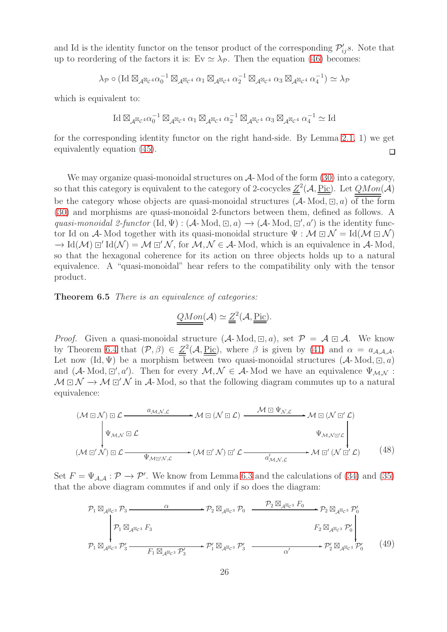and Id is the identity functor on the tensor product of the corresponding  $\mathcal{P}'_{ij}s$ . Note that up to reordering of the factors it is: Ev  $\simeq \lambda_{\mathcal{P}}$ . Then the equation [\(46\)](#page-24-0) becomes:

$$
\lambda_{\mathcal{P}} \circ (\mathrm{Id}\boxtimes_{\mathcal{A}^{\boxtimes_{\mathcal{C}}}\circ} \alpha_{0}^{-1}\boxtimes_{\mathcal{A}^{\boxtimes_{\mathcal{C}}}\circ} \alpha_{1}\boxtimes_{\mathcal{A}^{\boxtimes_{\mathcal{C}}}\circ} \alpha_{2}^{-1}\boxtimes_{\mathcal{A}^{\boxtimes_{\mathcal{C}}}\circ} \alpha_{3}\boxtimes_{\mathcal{A}^{\boxtimes_{\mathcal{C}}}\circ} \alpha_{4}^{-1}) \simeq \lambda_{\mathcal{P}}
$$

which is equivalent to:

$$
\operatorname{Id}\boxtimes_{\mathcal{A}^{\boxtimes_{\mathcal{C}} q}} \alpha_0^{-1}\boxtimes_{\mathcal{A}^{\boxtimes_{\mathcal{C}} q}} \alpha_1 \boxtimes_{\mathcal{A}^{\boxtimes_{\mathcal{C}} q}} \alpha_2^{-1}\boxtimes_{\mathcal{A}^{\boxtimes_{\mathcal{C}} q}} \alpha_3 \boxtimes_{\mathcal{A}^{\boxtimes_{\mathcal{C}} q}} \alpha_4^{-1} \simeq \operatorname{Id}
$$

for the corresponding identity functor on the right hand-side. By Lemma [2.1,](#page-3-2) 1) we get equivalently equation [\(45\)](#page-24-1).  $\Box$ 

We may organize quasi-monoidal structures on  $\mathcal{A}$ -Mod of the form [\(30\)](#page-19-1) into a category, so that this category is equivalent to the category of 2-cocycles  $\underline{Z}^2(\mathcal{A}, \underline{\mathrm{Pic}})$ . Let  $QMon(\mathcal{A})$ be the category whose objects are quasi-monoidal structures  $(A-Mod, \Box, a)$  of the form [\(30\)](#page-19-1) and morphisms are quasi-monoidal 2-functors between them, defined as follows. A quasi-monoidal 2-functor (Id,  $\Psi$ ) : (A-Mod,  $\Xi$ , a)  $\to$  (A-Mod,  $\Xi'$ , a') is the identity functor Id on A- Mod together with its quasi-monoidal structure  $\Psi : \mathcal{M} \boxdot \mathcal{N} = \text{Id}(\mathcal{M} \boxdot \mathcal{N})$  $\to$  Id(M)  $\Xi'$  Id(N) = M  $\Xi'$  N, for M, N  $\in$  A-Mod, which is an equivalence in A-Mod, so that the hexagonal coherence for its action on three objects holds up to a natural equivalence. A "quasi-monoidal" hear refers to the compatibility only with the tensor product.

<span id="page-25-0"></span>Theorem 6.5 There is an equivalence of categories:

$$
\underline{QMon}(\mathcal{A}) \simeq \underline{Z}^2(\mathcal{A}, \underline{\underline{Pic}}).
$$

*Proof.* Given a quasi-monoidal structure  $(A-Mod, \Xi, a)$ , set  $\mathcal{P} = \mathcal{A} \boxdot \mathcal{A}$ . We know by Theorem [6.4](#page-21-0) that  $(\mathcal{P}, \beta) \in \underline{Z}^2(\mathcal{A}, \underline{\text{Pic}})$ , where  $\beta$  is given by [\(41\)](#page-21-3) and  $\alpha = a_{\mathcal{A}, \mathcal{A}, \mathcal{A}}$ . Let now  $(\mathrm{Id}, \Psi)$  be a morphism between two quasi-monoidal structures  $(\mathcal{A}$ -Mod,  $\Xi$ , a) and  $(A-Mod, \mathbb{Z}', a')$ . Then for every  $\mathcal{M}, \mathcal{N} \in \mathcal{A}$ -Mod we have an equivalence  $\Psi_{\mathcal{M}, \mathcal{N}}$ :  $M \boxdot N \rightarrow M \boxdot' N$  in A-Mod, so that the following diagram commutes up to a natural equivalence:

$$
(\mathcal{M} \boxdot \mathcal{N}) \boxdot \mathcal{L} \xrightarrow{\alpha_{\mathcal{M}, \mathcal{N}, \mathcal{L}}} \mathcal{M} \boxdot (\mathcal{N} \boxdot \mathcal{L}) \xrightarrow{\mathcal{M} \boxdot \Psi_{\mathcal{N}, \mathcal{L}}} \mathcal{M} \boxdot (\mathcal{N} \boxdot' \mathcal{L})
$$
\n
$$
\downarrow \psi_{\mathcal{M}, \mathcal{N}} \boxdot \mathcal{L} \xrightarrow{\psi_{\mathcal{M}, \mathcal{N}} \boxdot' \mathcal{L}} (\mathcal{M} \boxdot' \mathcal{N}) \boxdot' \mathcal{L} \xrightarrow{\alpha'_{\mathcal{M}, \mathcal{N}, \mathcal{L}}} (\mathcal{M} \boxdot' \mathcal{N}) \boxdot' \mathcal{L} \xrightarrow{\alpha'_{\mathcal{M}, \mathcal{N}, \mathcal{L}}} \mathcal{M} \boxdot' (\mathcal{N} \boxdot' \mathcal{L}) \tag{48}
$$

<span id="page-25-2"></span>Set  $F = \Psi_{A,A} : \mathcal{P} \to \mathcal{P}'$ . We know from Lemma [6.3](#page-20-3) and the calculations of [\(34\)](#page-19-2) and [\(35\)](#page-20-2) that the above diagram commutes if and only if so does the diagram:

<span id="page-25-1"></span>
$$
\mathcal{P}_1 \boxtimes_{\mathcal{A}^{\boxtimes_{\mathcal{C}}}3} \mathcal{P}_3 \xrightarrow{\alpha} \mathcal{P}_2 \boxtimes_{\mathcal{A}^{\boxtimes_{\mathcal{C}}}3} \mathcal{P}_0 \xrightarrow{\mathcal{P}_2 \boxtimes_{\mathcal{A}^{\boxtimes_{\mathcal{C}}}3} F_0} \mathcal{P}_2 \boxtimes_{\mathcal{A}^{\boxtimes_{\mathcal{C}}}3} \mathcal{P}'_0
$$
\n
$$
\downarrow \mathcal{P}_1 \boxtimes_{\mathcal{A}^{\boxtimes_{\mathcal{C}}}3} F_3 \xrightarrow{\mathcal{P}_1 \boxtimes_{\mathcal{A}^{\boxtimes_{\mathcal{C}}}3} \mathcal{P}'_3} \mathcal{P}'_1 \boxtimes_{\mathcal{A}^{\boxtimes_{\mathcal{C}}}3} \mathcal{P}'_3 \xrightarrow{\mathcal{P}_1 \boxtimes_{\mathcal{A}^{\boxtimes_{\mathcal{C}}}3} \mathcal{P}'_3} \mathcal{P}'_1 \xrightarrow{\alpha'} \mathcal{P}'_2 \boxtimes_{\mathcal{A}^{\boxtimes_{\mathcal{C}}}3} \mathcal{P}'_0 \qquad (49)
$$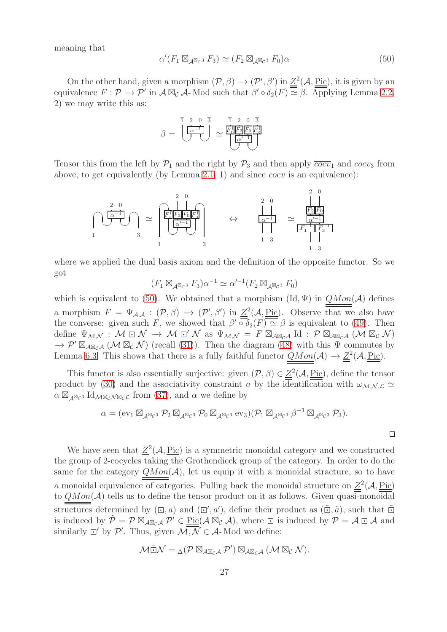meaning that

<span id="page-26-0"></span>
$$
\alpha'(F_1 \boxtimes_{\mathcal{A}^{\boxtimes}c^3} F_3) \simeq (F_2 \boxtimes_{\mathcal{A}^{\boxtimes}c^3} F_0)\alpha \tag{50}
$$

On the other hand, given a morphism  $(\mathcal{P}, \beta) \to (\mathcal{P}', \beta')$  in  $\underline{Z}^2(\mathcal{A}, \underline{\text{Pic}})$ , it is given by an equivalence  $F: \mathcal{P} \to \mathcal{P}'$  in  $\mathcal{A} \boxtimes_{\mathcal{C}} \mathcal{A}$ - Mod such that  $\beta' \circ \delta_2(F) \simeq \beta$ . Applying Lemma [2.2,](#page-3-3) 2) we may write this as:

$$
\beta = \underbrace{\begin{bmatrix} 1 & 2 & 0 & \overline{3} & \overline{1} & 2 & 0 & \overline{3} \\ \overline{\alpha^{-1}} & & & & \overline{F_1^*} \\ \overline{\beta} & & & & \overline{\alpha^{-1}} \\ \end{bmatrix}}_{\alpha} \simeq \underbrace{\begin{bmatrix} \overline{F_1^*} \\ \overline{F_2^*} \\ \overline{\alpha^{-1}} \\ \end{bmatrix}}_{\alpha} \underbrace{\begin{bmatrix} \overline{F_2^*} \\ \overline{\alpha} \\ \overline{\alpha^{-1}} \\ \end{bmatrix}}
$$

Tensor this from the left by  $\mathcal{P}_1$  and the right by  $\mathcal{P}_3$  and then apply  $\overline{coev}_1$  and  $coev_3$  from above, to get equivalently (by Lemma [2.1,](#page-3-2) 1) and since coev is an equivalence):



where we applied the dual basis axiom and the definition of the opposite functor. So we got

$$
(F_1 \boxtimes_{\mathcal{A}^{\boxtimes} c^3} F_3)\alpha^{-1} \simeq \alpha'^{-1}(F_2 \boxtimes_{\mathcal{A}^{\boxtimes} c^3} F_0)
$$

which is equivalent to [\(50\)](#page-26-0). We obtained that a morphism  $(\mathrm{Id}, \Psi)$  in  $QMon(\mathcal{A})$  defines a morphism  $F = \Psi_{\mathcal{A}, \mathcal{A}} : (\mathcal{P}, \beta) \to (\mathcal{P}', \beta')$  in  $\underline{\mathcal{Z}}^2(\mathcal{A}, \underline{\text{Pic}})$ . Observe that we also have the converse: given such F, we showed that  $\beta' \circ \delta_2(F) \simeq \beta$  is equivalent to [\(49\)](#page-25-1). Then define  $\Psi_{\mathcal{M},\mathcal{N}} : \mathcal{M} \boxdot \mathcal{N} \to \mathcal{M} \boxdot' \mathcal{N}$  as  $\Psi_{\mathcal{M},\mathcal{N}} = F \boxtimes_{\mathcal{A} \boxtimes_{\mathcal{C}} \mathcal{A}} \mathrm{Id} : \mathcal{P} \boxtimes_{\mathcal{A} \boxtimes_{\mathcal{C}} \mathcal{A}} (\mathcal{M} \boxtimes_{\mathcal{C}} \mathcal{N})$  $\rightarrow \mathcal{P}' \boxtimes_{\mathcal{A} \boxtimes_{\mathcal{C}} \mathcal{A}} (\mathcal{M} \boxtimes_{\mathcal{C}} \mathcal{N})$  (recall [\(31\)](#page-19-3)). Then the diagram [\(48\)](#page-25-2) with this  $\Psi$  commutes by Lemma [6.3.](#page-20-3) This shows that there is a fully faithful functor  $QMon(\mathcal{A}) \to \underline{Z}^2(\mathcal{A}, \underline{Pic})$ .

This functor is also essentially surjective: given  $(\mathcal{P}, \beta) \in \underline{Z}^2(\mathcal{A}, \underline{\text{Pic}})$ , define the tensor product by [\(30\)](#page-19-1) and the associativity constraint a by the identification with  $\omega_{M,N,\mathcal{L}} \simeq$  $\alpha \boxtimes_{\mathcal{A}} \boxtimes_{\mathcal{C}} 3$  Id  $\alpha \boxtimes_{\mathcal{A}} \boxtimes_{\mathcal{C}} \mathcal{A}$  from [\(37\)](#page-20-0), and  $\alpha$  we define by

$$
\alpha = (\operatorname{ev}_1 \boxtimes_{\mathcal{A}^{\boxtimes} \mathcal{C}^3} \mathcal{P}_2 \boxtimes_{\mathcal{A}^{\boxtimes} \mathcal{C}^3} \mathcal{P}_0 \boxtimes_{\mathcal{A}^{\boxtimes} \mathcal{C}^3} \overline{\operatorname{ev}}_3)(\mathcal{P}_1 \boxtimes_{\mathcal{A}^{\boxtimes} \mathcal{C}^3} \beta^{-1} \boxtimes_{\mathcal{A}^{\boxtimes} \mathcal{C}^3} \mathcal{P}_3).
$$

 $\Box$ 

We have seen that  $Z^2(\mathcal{A}, \underline{\text{Pic}})$  is a symmetric monoidal category and we constructed the group of 2-cocycles  $\overline{\text{taking the Grothendieck}}$  group of the category. In order to do the same for the category  $QMon(\mathcal{A})$ , let us equip it with a monoidal stracture, so to have a monoidal equivalence of categories. Pulling back the monoidal structure on  $\underline{Z}^2(\mathcal{A}, \underline{\text{Pic}})$ to  $QMon(\mathcal{A})$  tells us to define the tensor product on it as follows. Given quasi-monoidal structures determined by  $(\Xi, a)$  and  $(\Xi', a')$ , define their product as  $(\tilde{\Xi}, \tilde{a})$ , such that  $\tilde{\Xi}$ is induced by  $\tilde{\mathcal{P}} = \mathcal{P} \boxtimes_{\mathcal{A} \boxtimes_{\mathcal{C}} \mathcal{A}} \mathcal{P}' \in \underline{\text{Pic}}(\mathcal{A} \boxtimes_{\mathcal{C}} \mathcal{A}),$  where  $\Box$  is induced by  $\mathcal{P} = \mathcal{A} \boxdot \mathcal{A}$  and similarly  $\Box'$  by  $\mathcal{P}'$ . Thus, given  $\mathcal{M}, \mathcal{N} \in \mathcal{A}$ -Mod we define:

$$
\mathcal{M}\tilde{\boxdot}\mathcal{N} = {}_{\Delta}(\mathcal{P}\boxtimes_{\mathcal{A}\boxtimes_{\mathcal{C}}\mathcal{A}}\mathcal{P}')\boxtimes_{\mathcal{A}\boxtimes_{\mathcal{C}}\mathcal{A}}(\mathcal{M}\boxtimes_{\mathcal{C}}\mathcal{N}).
$$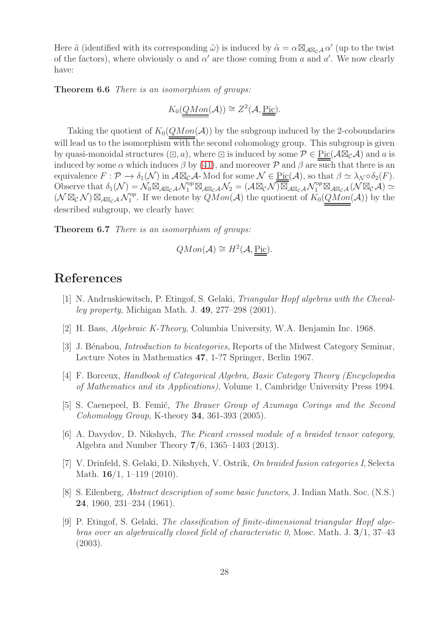Here  $\tilde{a}$  (identified with its corresponding  $\tilde{\omega}$ ) is induced by  $\tilde{\alpha} = \alpha \boxtimes_{\mathcal{A} \boxtimes_{\mathcal{C}} \mathcal{A}} \alpha'$  (up to the twist of the factors), where obviously  $\alpha$  and  $\alpha'$  are those coming from a and  $\alpha'$ . We now clearly have:

Theorem 6.6 There is an isomorphism of groups:

$$
K_0(\underline{QMon}(\mathcal{A})) \cong Z^2(\mathcal{A}, \underline{\underline{Pic}}).
$$

Taking the quotient of  $K_0(QMon(\mathcal{A}))$  by the subgroup induced by the 2-coboundaries will lead us to the isomorphism with the second cohomology group. This subgroup is given by quasi-monoidal structures  $(\square, a)$ , where  $\square$  is induced by some  $\mathcal{P} \in \text{Pic}(\mathcal{A} \boxtimes_{\mathcal{C}} \mathcal{A})$  and a is induced by some  $\alpha$  which induces  $\beta$  by [\(41\)](#page-21-3), and moreover  $\mathcal P$  and  $\beta$  are such that there is an equivalence  $F: \mathcal{P} \to \delta_1(\mathcal{N})$  in  $\mathcal{A} \boxtimes_{\mathcal{C}} \mathcal{A}$ - Mod for some  $\mathcal{N} \in \text{Pic}(\mathcal{A})$ , so that  $\beta \simeq \lambda_{\mathcal{N}} \circ \delta_2(F)$ . Observe that  $\delta_1(\mathcal{N}) = \mathcal{N}_0 \boxtimes_{\mathcal{A} \boxtimes_{\mathcal{C}} \mathcal{A}} \mathcal{N}_1^{op} \boxtimes_{\mathcal{A} \boxtimes_{\mathcal{C}} \mathcal{A}} \mathcal{N}_2 = (\mathcal{A} \boxtimes_{\mathcal{C}} \mathcal{N}) \boxtimes_{\mathcal{A} \boxtimes_{\mathcal{C}} \mathcal{A}} \mathcal{N}_1^{op} \boxtimes_{\mathcal{A} \boxtimes_{\mathcal{C}} \mathcal{A}} (\mathcal{N} \boxtimes_{\mathcal{C}} \mathcal{A}) \simeq$  $(\mathcal{N} \boxtimes_{\mathcal{C}} \mathcal{N}) \boxtimes_{\mathcal{A} \boxtimes_{\mathcal{C}} \mathcal{A}} \mathcal{N}_1^{op}$  $_{1}^{\text{op}}$ . If we denote by  $QMon(\mathcal{A})$  the quotioent of  $K_{0}(\underline{QMon}(\mathcal{A}))$  by the described subgroup, we clearly have:

Theorem 6.7 There is an isomorphism of groups:

$$
QMon(\mathcal{A}) \cong H^2(\mathcal{A}, \underline{Pic}).
$$

### <span id="page-27-2"></span>References

- [1] N. Andruskiewitsch, P. Etingof, S. Gelaki, Triangular Hopf algebras with the Chevalley property, Michigan Math. J. 49, 277–298 (2001).
- <span id="page-27-7"></span><span id="page-27-4"></span>[2] H. Bass, Algebraic K-Theory, Columbia University, W.A. Benjamin Inc. 1968.
- <span id="page-27-5"></span>[3] J. Bénabou, *Introduction to bicategories*, Reports of the Midwest Category Seminar, Lecture Notes in Mathematics 47, 1-?7 Springer, Berlin 1967.
- <span id="page-27-0"></span>[4] F. Borceux, Handbook of Categorical Algebra, Basic Category Theory (Encyclopedia of Mathematics and its Applications), Volume 1, Cambridge University Press 1994.
- <span id="page-27-1"></span>[5] S. Caenepeel, B. Femić, *The Brauer Group of Azumaya Corings and the Second* Cohomology Group, K-theory 34, 361-393 (2005).
- [6] A. Davydov, D. Nikshych, The Picard crossed module of a braided tensor category, Algebra and Number Theory 7/6, 1365–1403 (2013).
- <span id="page-27-8"></span>[7] V. Drinfeld, S. Gelaki, D. Nikshych, V. Ostrik, On braided fusion categories I, Selecta Math. **16/1**, 1–119 (2010).
- <span id="page-27-6"></span>[8] S. Eilenberg, Abstract description of some basic functors, J. Indian Math. Soc. (N.S.) 24, 1960, 231–234 (1961).
- <span id="page-27-3"></span>[9] P. Etingof, S. Gelaki, The classification of finite-dimensional triangular Hopf algebras over an algebraically closed field of characteristic 0, Mosc. Math. J. 3/1, 37–43 (2003).